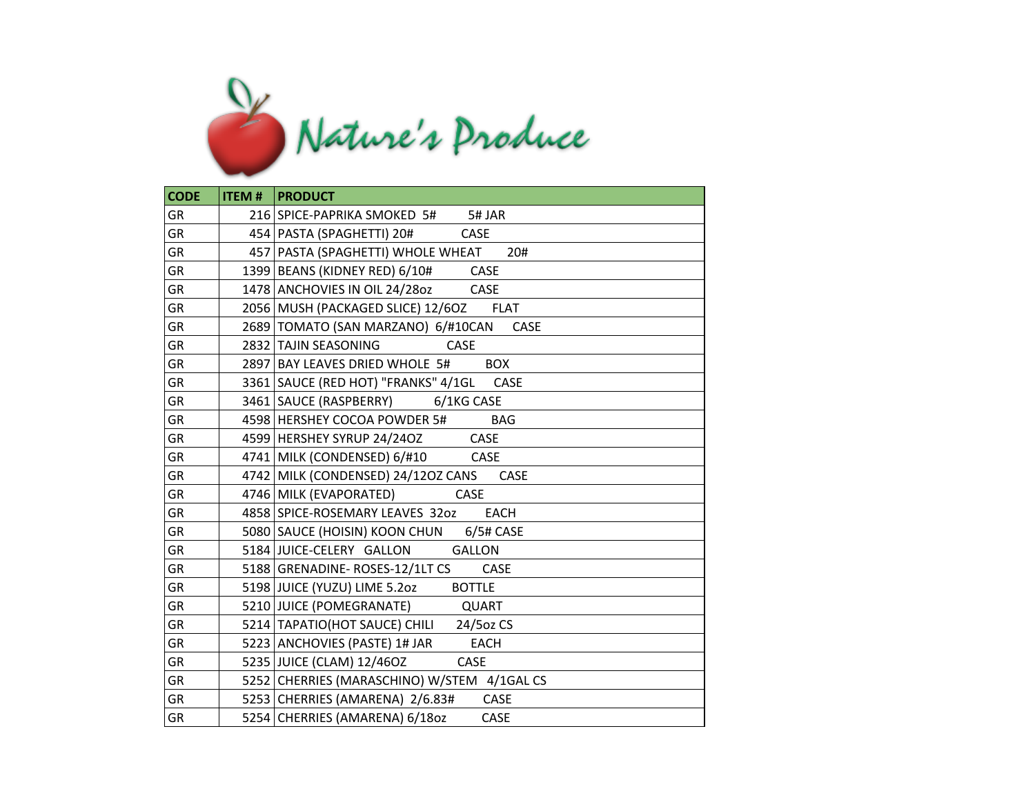

| <b>CODE</b> | <b>ITEM #   PRODUCT</b>                           |
|-------------|---------------------------------------------------|
| <b>GR</b>   | 216 SPICE-PAPRIKA SMOKED 5# 5# JAR                |
| GR          | 454   PASTA (SPAGHETTI) 20#<br>CASE               |
| <b>GR</b>   | 457 PASTA (SPAGHETTI) WHOLE WHEAT 20#             |
| GR          | 1399 BEANS (KIDNEY RED) 6/10# CASE                |
| <b>GR</b>   | 1478 ANCHOVIES IN OIL 24/2802 CASE                |
| GR          | 2056 MUSH (PACKAGED SLICE) 12/6OZ<br><b>FLAT</b>  |
| GR          | 2689   TOMATO (SAN MARZANO) 6/#10CAN CASE         |
| GR          | 2832 TAJIN SEASONING<br><b>CASE</b>               |
| GR          | 2897 BAY LEAVES DRIED WHOLE 5# BOX                |
| GR          | 3361 SAUCE (RED HOT) "FRANKS" 4/1GL CASE          |
| <b>GR</b>   | 3461 SAUCE (RASPBERRY) 6/1KG CASE                 |
| GR          | 4598 HERSHEY COCOA POWDER 5#<br><b>BAG</b>        |
| <b>GR</b>   | 4599 HERSHEY SYRUP 24/24OZ CASE                   |
| GR          | 4741 MILK (CONDENSED) 6/#10 CASE                  |
| <b>GR</b>   | 4742 MILK (CONDENSED) 24/120Z CANS<br><b>CASE</b> |
| GR          | 4746 MILK (EVAPORATED)<br>CASE                    |
| GR          | 4858 SPICE-ROSEMARY LEAVES 320Z EACH              |
| GR          | 5080 SAUCE (HOISIN) KOON CHUN 6/5# CASE           |
| GR          | 5184 JUICE-CELERY GALLON GALLON                   |
| GR          | 5188 GRENADINE-ROSES-12/1LT CS CASE               |
| <b>GR</b>   | 5198 JUICE (YUZU) LIME 5.202 BOTTLE               |
| GR          | 5210 JUICE (POMEGRANATE)<br>QUART                 |
| GR          | 5214 TAPATIO (HOT SAUCE) CHILI 24/50Z CS          |
| GR          | 5223 ANCHOVIES (PASTE) 1# JAR EACH                |
| GR          | CASE<br>5235 JUICE (CLAM) 12/46OZ                 |
| GR          | 5252 CHERRIES (MARASCHINO) W/STEM 4/1GAL CS       |
| GR          | 5253 CHERRIES (AMARENA) 2/6.83#<br>CASE           |
| GR          | 5254 CHERRIES (AMARENA) 6/18oz<br>CASE            |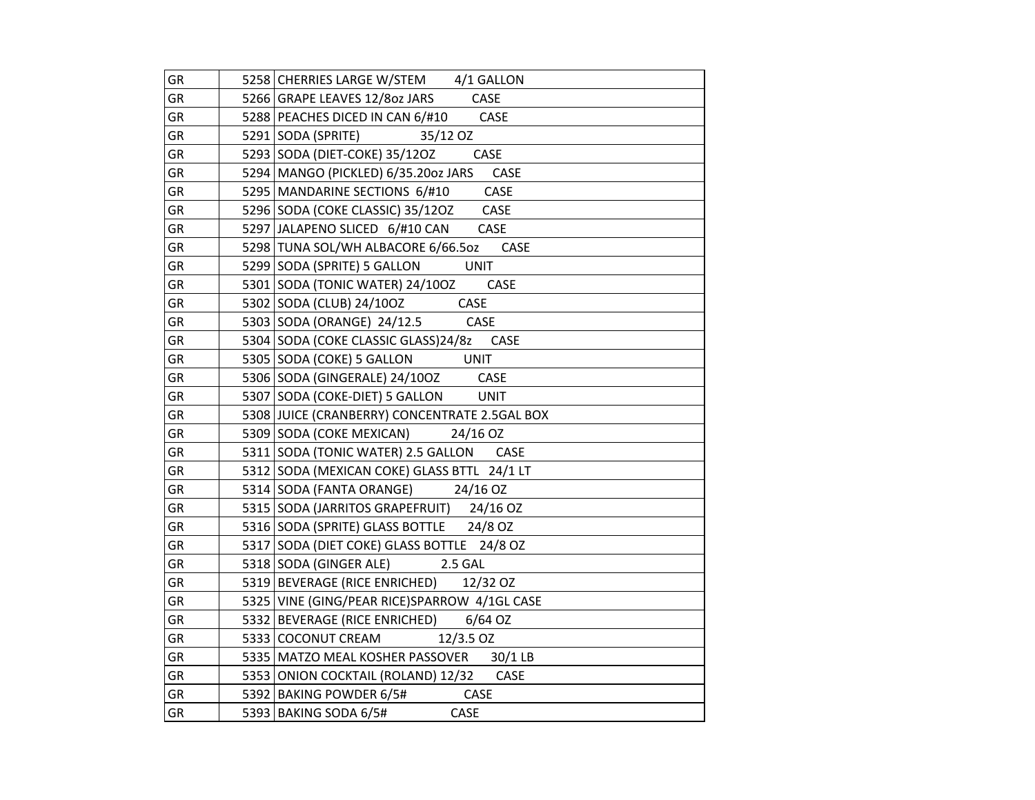| GR        | 5258 CHERRIES LARGE W/STEM 4/1 GALLON         |
|-----------|-----------------------------------------------|
| GR        | 5266 GRAPE LEAVES 12/8oz JARS<br>CASE         |
| GR        | 5288 PEACHES DICED IN CAN 6/#10 CASE          |
| GR        | 5291 SODA (SPRITE)<br>35/12 OZ                |
| GR        | 5293 SODA (DIET-COKE) 35/120Z<br><b>CASE</b>  |
| GR        | 5294 MANGO (PICKLED) 6/35.20oz JARS CASE      |
| GR        | CASE<br>5295 MANDARINE SECTIONS 6/#10         |
| GR        | 5296 SODA (COKE CLASSIC) 35/12OZ<br>CASE      |
| GR        | 5297 JALAPENO SLICED 6/#10 CAN<br>CASE        |
| GR        | 5298 TUNA SOL/WH ALBACORE 6/66.5oz<br>CASE    |
| <b>GR</b> | 5299 SODA (SPRITE) 5 GALLON<br><b>UNIT</b>    |
| GR        | 5301 SODA (TONIC WATER) 24/10OZ<br>CASE       |
| GR        | 5302 SODA (CLUB) 24/100Z CASE                 |
| GR        | 5303 SODA (ORANGE) 24/12.5 CASE               |
| GR        | 5304 SODA (COKE CLASSIC GLASS) 24/8z CASE     |
| GR        | 5305 SODA (COKE) 5 GALLON<br>UNIT             |
| GR        | 5306   SODA (GINGERALE) 24/10OZ<br>CASE       |
| GR        | 5307 SODA (COKE-DIET) 5 GALLON UNIT           |
| GR        | 5308 JUICE (CRANBERRY) CONCENTRATE 2.5GAL BOX |
| GR        | 5309 SODA (COKE MEXICAN)<br>24/16 OZ          |
| GR        | 5311   SODA (TONIC WATER) 2.5 GALLON CASE     |
| GR        | 5312 SODA (MEXICAN COKE) GLASS BTTL 24/1 LT   |
| <b>GR</b> | 5314 SODA (FANTA ORANGE) 24/16 OZ             |
| GR        | 5315 SODA (JARRITOS GRAPEFRUIT) 24/16 OZ      |
| GR        | 5316 SODA (SPRITE) GLASS BOTTLE 24/8 OZ       |
| GR        | 5317 SODA (DIET COKE) GLASS BOTTLE 24/8 OZ    |
| GR        | 5318 SODA (GINGER ALE) 2.5 GAL                |
| GR        | 5319 BEVERAGE (RICE ENRICHED) 12/32 OZ        |
| GR        | 5325 VINE (GING/PEAR RICE)SPARROW 4/1GL CASE  |
| GR        | 5332 BEVERAGE (RICE ENRICHED) 6/64 OZ         |
| GR        | 5333 COCONUT CREAM<br>12/3.5 OZ               |
| GR        | 5335 MATZO MEAL KOSHER PASSOVER 30/1 LB       |
| GR        | 5353 ONION COCKTAIL (ROLAND) 12/32 CASE       |
| GR        | 5392 BAKING POWDER 6/5# CASE                  |
| GR        | CASE<br>5393 BAKING SODA 6/5#                 |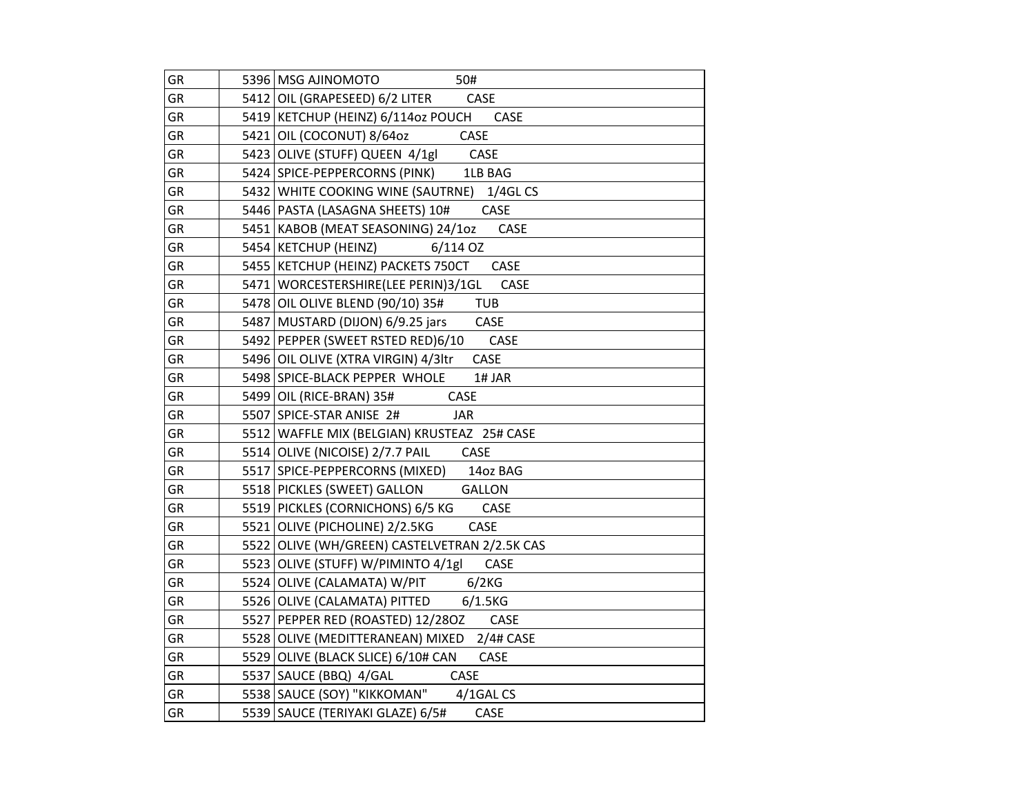| GR        | 5396 MSG AJINOMOTO<br>50#                         |
|-----------|---------------------------------------------------|
| GR        | 5412 OIL (GRAPESEED) 6/2 LITER CASE               |
| <b>GR</b> | 5419 KETCHUP (HEINZ) 6/114oz POUCH CASE           |
| GR        | 5421 OIL (COCONUT) 8/64oz<br><b>CASE</b>          |
| GR        | 5423 OLIVE (STUFF) QUEEN 4/1gl CASE               |
| GR        | 5424 SPICE-PEPPERCORNS (PINK) 1LB BAG             |
| GR        | 5432 WHITE COOKING WINE (SAUTRNE) 1/4GL CS        |
| GR        | 5446   PASTA (LASAGNA SHEETS) 10#<br>CASE         |
| <b>GR</b> | CASE<br>5451 KABOB (MEAT SEASONING) 24/1oz        |
| <b>GR</b> | 5454 KETCHUP (HEINZ)<br>$6/114$ OZ                |
| GR        | 5455 KETCHUP (HEINZ) PACKETS 750CT<br><b>CASE</b> |
| GR        | 5471   WORCESTERSHIRE (LEE PERIN) 3/1GL CASE      |
| GR        | 5478 OIL OLIVE BLEND (90/10) 35#<br><b>TUB</b>    |
| GR        | 5487 MUSTARD (DIJON) 6/9.25 jars<br>CASE          |
| GR        | 5492 PEPPER (SWEET RSTED RED)6/10<br>CASE         |
| GR        | CASE<br>5496 OIL OLIVE (XTRA VIRGIN) 4/3ltr       |
| GR        | 5498 SPICE-BLACK PEPPER WHOLE<br>1# JAR           |
| <b>GR</b> | 5499 OIL (RICE-BRAN) 35# CASE                     |
| GR        | 5507 SPICE-STAR ANISE 2#<br><b>JAR</b>            |
| GR        | 5512 WAFFLE MIX (BELGIAN) KRUSTEAZ 25# CASE       |
| GR        | 5514 OLIVE (NICOISE) 2/7.7 PAIL CASE              |
| GR        | 5517 SPICE-PEPPERCORNS (MIXED) 140z BAG           |
| GR        | 5518 PICKLES (SWEET) GALLON<br><b>GALLON</b>      |
| GR        | 5519   PICKLES (CORNICHONS) 6/5 KG<br>CASE        |
| <b>GR</b> | 5521 OLIVE (PICHOLINE) 2/2.5KG<br>CASE            |
| GR        | 5522 OLIVE (WH/GREEN) CASTELVETRAN 2/2.5K CAS     |
| <b>GR</b> | 5523 OLIVE (STUFF) W/PIMINTO 4/1gl<br>CASE        |
| GR        | 5524 OLIVE (CALAMATA) W/PIT 6/2KG                 |
| GR        | 5526 OLIVE (CALAMATA) PITTED 6/1.5KG              |
| GR        | CASE<br>5527 PEPPER RED (ROASTED) 12/28OZ         |
| <b>GR</b> | 5528 OLIVE (MEDITTERANEAN) MIXED 2/4# CASE        |
| GR        | 5529 OLIVE (BLACK SLICE) 6/10# CAN<br>CASE        |
| GR        | 5537 SAUCE (BBQ) 4/GAL<br>CASE                    |
| GR        | 5538 SAUCE (SOY) "KIKKOMAN" 4/1GAL CS             |
| GR        | 5539 SAUCE (TERIYAKI GLAZE) 6/5#<br>CASE          |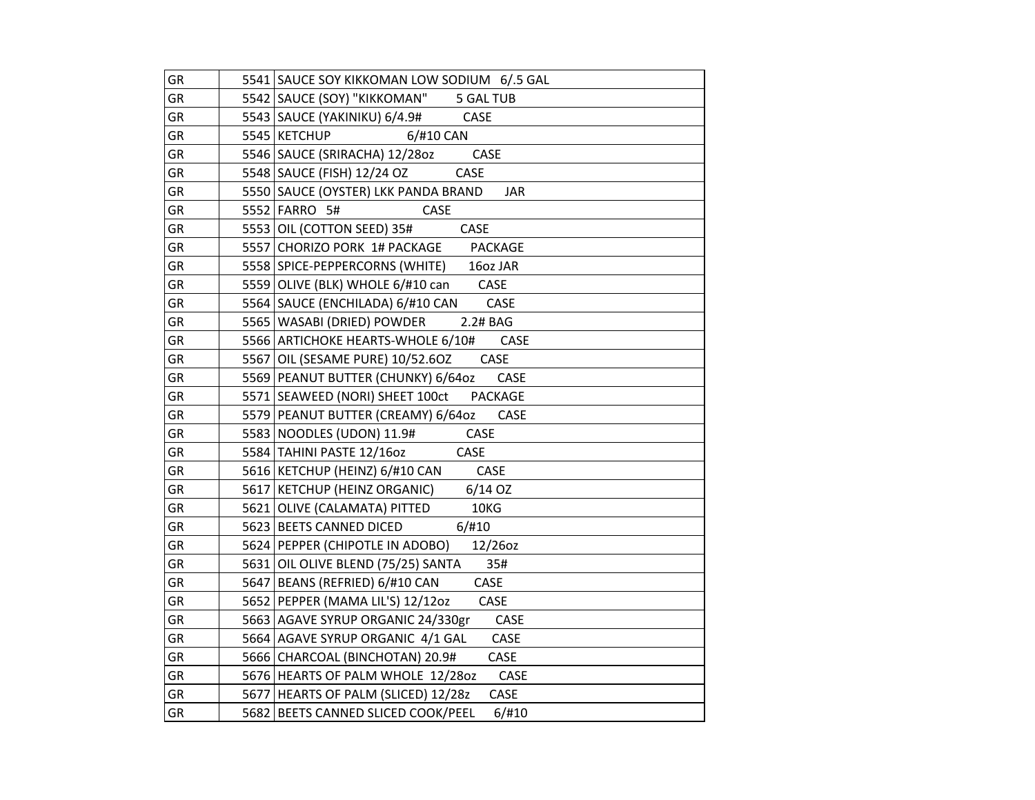| GR        | 5541 SAUCE SOY KIKKOMAN LOW SODIUM 6/.5 GAL       |
|-----------|---------------------------------------------------|
| <b>GR</b> | 5542 SAUCE (SOY) "KIKKOMAN"<br>5 GAL TUB          |
| <b>GR</b> | 5543   SAUCE (YAKINIKU) 6/4.9#<br>CASE            |
| GR        | 6/#10 CAN<br>5545 KETCHUP                         |
| GR        | 5546 SAUCE (SRIRACHA) 12/28oz<br><b>CASE</b>      |
| GR        | 5548   SAUCE (FISH) 12/24 OZ<br>CASE              |
| GR        | 5550 SAUCE (OYSTER) LKK PANDA BRAND<br><b>JAR</b> |
| GR        | 5552 FARRO 5#<br>CASE                             |
| GR        | 5553 OIL (COTTON SEED) 35#<br>CASE                |
| GR        | 5557 CHORIZO PORK 1# PACKAGE PACKAGE              |
| <b>GR</b> | 5558 SPICE-PEPPERCORNS (WHITE) 160z JAR           |
| <b>GR</b> | 5559 OLIVE (BLK) WHOLE 6/#10 can CASE             |
| GR        | 5564 SAUCE (ENCHILADA) 6/#10 CAN<br>CASE          |
| GR        | 5565   WASABI (DRIED) POWDER<br>2.2# BAG          |
| GR        | 5566 ARTICHOKE HEARTS-WHOLE 6/10#<br><b>CASE</b>  |
| GR        | CASE<br>5567 OIL (SESAME PURE) 10/52.60Z          |
| GR        | CASE<br>5569 PEANUT BUTTER (CHUNKY) 6/64oz        |
| GR        | 5571 SEAWEED (NORI) SHEET 100ct PACKAGE           |
| GR        | 5579 PEANUT BUTTER (CREAMY) 6/64oz<br>CASE        |
| GR        | <b>CASE</b><br>5583 NOODLES (UDON) 11.9#          |
| GR        | 5584 TAHINI PASTE 12/16oz<br>CASE                 |
| GR        | CASE<br>5616 KETCHUP (HEINZ) 6/#10 CAN            |
| GR        | 5617 KETCHUP (HEINZ ORGANIC)<br>$6/14$ OZ         |
| GR        | 10KG<br>5621 OLIVE (CALAMATA) PITTED              |
| GR        | 5623 BEETS CANNED DICED<br>6/#10                  |
| GR        | 5624 PEPPER (CHIPOTLE IN ADOBO)<br>12/26oz        |
| GR        | 5631 OIL OLIVE BLEND (75/25) SANTA<br>35#         |
| GR        | CASE<br>5647   BEANS (REFRIED) 6/#10 CAN          |
| GR        | 5652 PEPPER (MAMA LIL'S) 12/12oz<br>CASE          |
| GR        | 5663 AGAVE SYRUP ORGANIC 24/330gr<br>CASE         |
| GR        | 5664 AGAVE SYRUP ORGANIC 4/1 GAL<br>CASE          |
| GR        | 5666 CHARCOAL (BINCHOTAN) 20.9#<br>CASE           |
| GR        | 5676 HEARTS OF PALM WHOLE 12/280Z<br>CASE         |
| GR        | CASE<br>5677 HEARTS OF PALM (SLICED) 12/28z       |
| GR        | 5682 BEETS CANNED SLICED COOK/PEEL<br>6/#10       |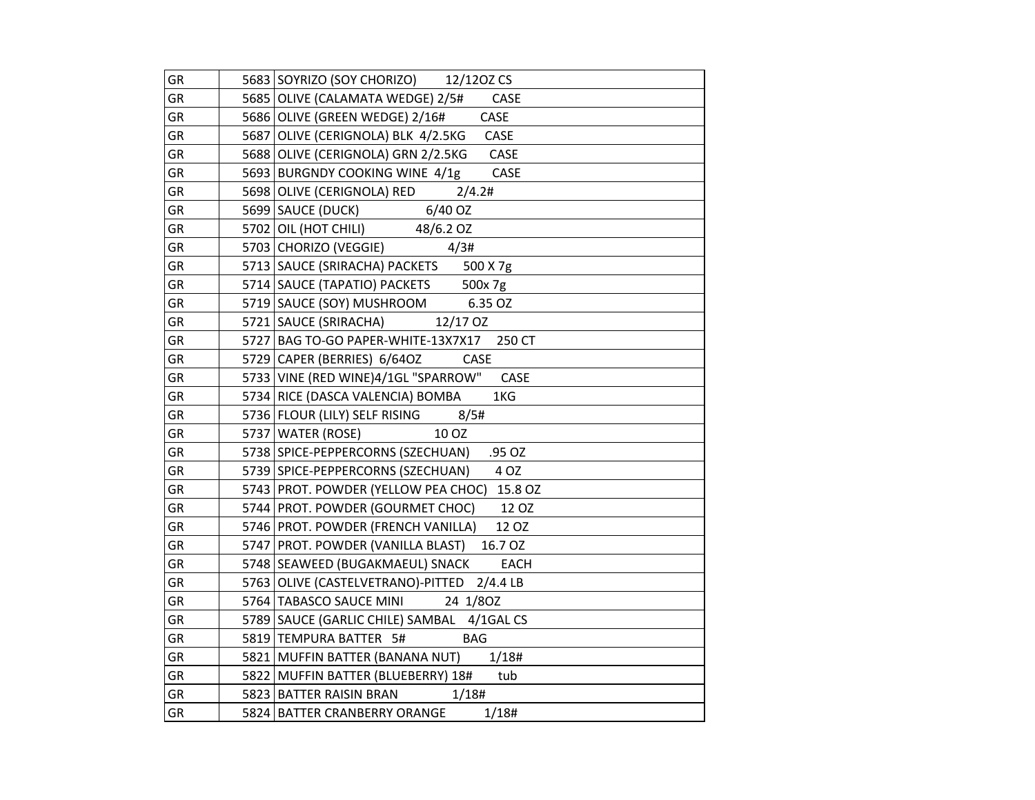| GR        | 5683 SOYRIZO (SOY CHORIZO) 12/1202 CS             |
|-----------|---------------------------------------------------|
| GR        | 5685 OLIVE (CALAMATA WEDGE) 2/5#<br>CASE          |
| GR        | 5686 OLIVE (GREEN WEDGE) 2/16# CASE               |
| GR        | 5687 OLIVE (CERIGNOLA) BLK 4/2.5KG CASE           |
| GR        | <b>CASE</b><br>5688 OLIVE (CERIGNOLA) GRN 2/2.5KG |
| GR        | 5693 BURGNDY COOKING WINE 4/1g<br>CASE            |
| GR        | 5698 OLIVE (CERIGNOLA) RED 2/4.2#                 |
| GR        | 5699   SAUCE (DUCK) 6/40 OZ                       |
| GR        | 5702 OIL (HOT CHILI) 48/6.2 OZ                    |
| GR        | 5703 CHORIZO (VEGGIE)<br>4/3#                     |
| <b>GR</b> | 5713 SAUCE (SRIRACHA) PACKETS 500 X 7g            |
| GR        | 5714 SAUCE (TAPATIO) PACKETS 500x 7g              |
| GR        | 5719 SAUCE (SOY) MUSHROOM 6.35 OZ                 |
| GR        | 5721   SAUCE (SRIRACHA) 12/17 OZ                  |
| GR        | 5727 BAG TO-GO PAPER-WHITE-13X7X17 250 CT         |
| GR        | CASE<br>5729 CAPER (BERRIES) 6/64OZ               |
| GR        | 5733 VINE (RED WINE)4/1GL "SPARROW" CASE          |
| <b>GR</b> | 5734 RICE (DASCA VALENCIA) BOMBA<br>1KG           |
| GR        | 5736 FLOUR (LILY) SELF RISING 8/5#                |
| GR        | 10 OZ<br>5737   WATER (ROSE)                      |
| GR        | 5738 SPICE-PEPPERCORNS (SZECHUAN) .95 OZ          |
| GR        | 5739 SPICE-PEPPERCORNS (SZECHUAN)<br>4 OZ         |
| <b>GR</b> | 5743 PROT. POWDER (YELLOW PEA CHOC) 15.8 OZ       |
| GR        | 12 OZ<br>5744 PROT. POWDER (GOURMET CHOC)         |
| GR        | 5746 PROT. POWDER (FRENCH VANILLA)<br>12 OZ       |
| GR        | 16.7 OZ<br>5747 PROT. POWDER (VANILLA BLAST)      |
| GR        | EACH<br>5748   SEAWEED (BUGAKMAEUL) SNACK         |
| GR        | 5763 OLIVE (CASTELVETRANO)-PITTED 2/4.4 LB        |
| GR        | 5764 TABASCO SAUCE MINI 24 1/80Z                  |
| GR        | 5789 SAUCE (GARLIC CHILE) SAMBAL 4/1GAL CS        |
| GR        | <b>BAG</b><br>5819 TEMPURA BATTER 5#              |
| GR        | 5821 MUFFIN BATTER (BANANA NUT) 1/18#             |
| GR        | 5822   MUFFIN BATTER (BLUEBERRY) 18#<br>tub       |
| GR        | 1/18#<br>5823   BATTER RAISIN BRAN                |
| GR        | 1/18#<br>5824 BATTER CRANBERRY ORANGE             |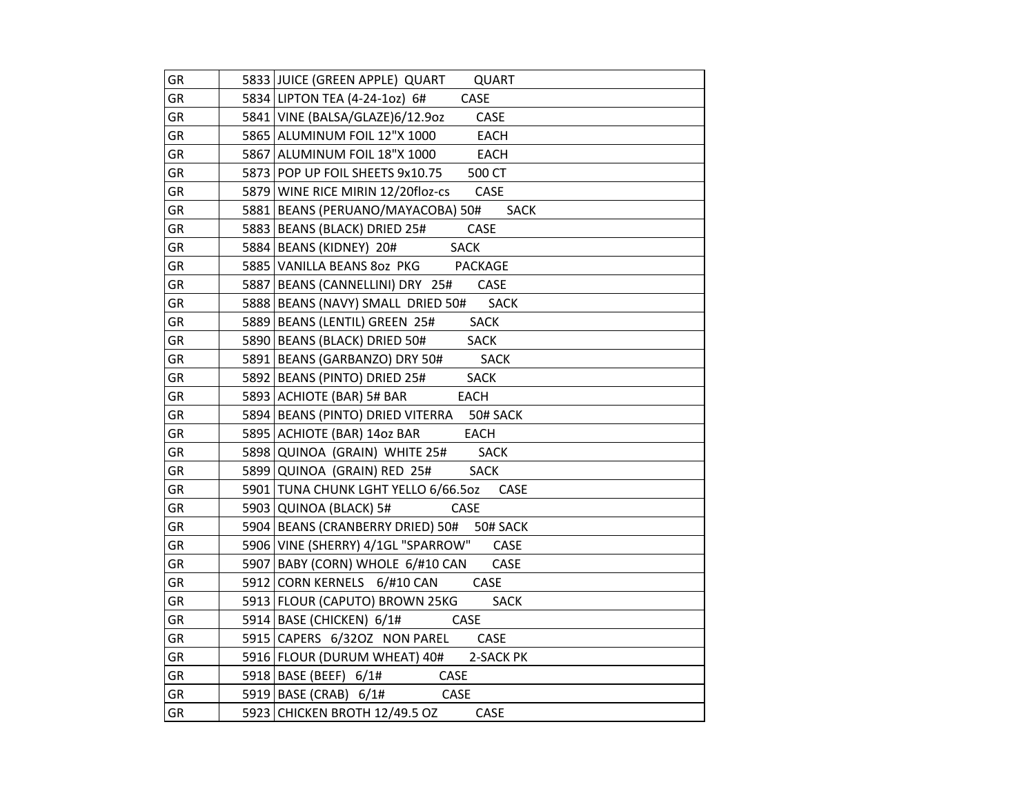| GR        | 5833 JUICE (GREEN APPLE) QUART<br>QUART            |
|-----------|----------------------------------------------------|
| <b>GR</b> | 5834 LIPTON TEA (4-24-1oz) 6#<br>CASE              |
| GR        | 5841 VINE (BALSA/GLAZE)6/12.902<br>CASE            |
| <b>GR</b> | 5865 ALUMINUM FOIL 12"X 1000<br><b>EACH</b>        |
| <b>GR</b> | 5867 ALUMINUM FOIL 18"X 1000<br><b>EACH</b>        |
| GR        | 5873 POP UP FOIL SHEETS 9x10.75<br>500 CT          |
| GR        | 5879 WINE RICE MIRIN 12/20floz-cs CASE             |
| GR        | 5881 BEANS (PERUANO/MAYACOBA) 50#<br>SACK          |
| GR        | 5883   BEANS (BLACK) DRIED 25#<br>CASE             |
| GR        | 5884   BEANS (KIDNEY) 20#<br><b>SACK</b>           |
| GR        | 5885 VANILLA BEANS 80Z PKG PACKAGE                 |
| GR        | 5887   BEANS (CANNELLINI) DRY 25# CASE             |
| GR        | <b>SACK</b><br>5888 BEANS (NAVY) SMALL DRIED 50#   |
| GR        | <b>SACK</b><br>5889 BEANS (LENTIL) GREEN 25#       |
| GR        | 5890 BEANS (BLACK) DRIED 50#<br><b>SACK</b>        |
| <b>GR</b> | 5891   BEANS (GARBANZO) DRY 50#<br><b>SACK</b>     |
| GR        | 5892 BEANS (PINTO) DRIED 25#<br><b>SACK</b>        |
| GR        | 5893 ACHIOTE (BAR) 5# BAR<br><b>EACH</b>           |
| GR        | 5894 BEANS (PINTO) DRIED VITERRA 50# SACK          |
| GR        | <b>EACH</b><br>5895 ACHIOTE (BAR) 14oz BAR         |
| GR        | 5898 QUINOA (GRAIN) WHITE 25# SACK                 |
| GR        | <b>SACK</b><br>5899 QUINOA (GRAIN) RED 25#         |
| GR        | 5901 TUNA CHUNK LGHT YELLO 6/66.50Z<br><b>CASE</b> |
| GR        | 5903 QUINOA (BLACK) 5#<br>CASE                     |
| GR        | 5904 BEANS (CRANBERRY DRIED) 50# 50# SACK          |
| GR        | 5906 VINE (SHERRY) 4/1GL "SPARROW"<br>CASE         |
| GR        | 5907 BABY (CORN) WHOLE 6/#10 CAN<br>CASE           |
| GR        | CASE<br>5912 CORN KERNELS 6/#10 CAN                |
| GR        | 5913 FLOUR (CAPUTO) BROWN 25KG<br><b>SACK</b>      |
| GR        | 5914 BASE (CHICKEN) 6/1#<br><b>CASE</b>            |
| GR        | 5915 CAPERS 6/32OZ NON PAREL<br>CASE               |
| GR        | 5916 FLOUR (DURUM WHEAT) 40# 2-SACK PK             |
| GR        | 5918 BASE (BEEF) 6/1#<br><b>CASE</b>               |
| GR        | $5919$ BASE (CRAB) $6/1#$ CASE                     |
| GR        | 5923 CHICKEN BROTH 12/49.5 OZ<br>CASE              |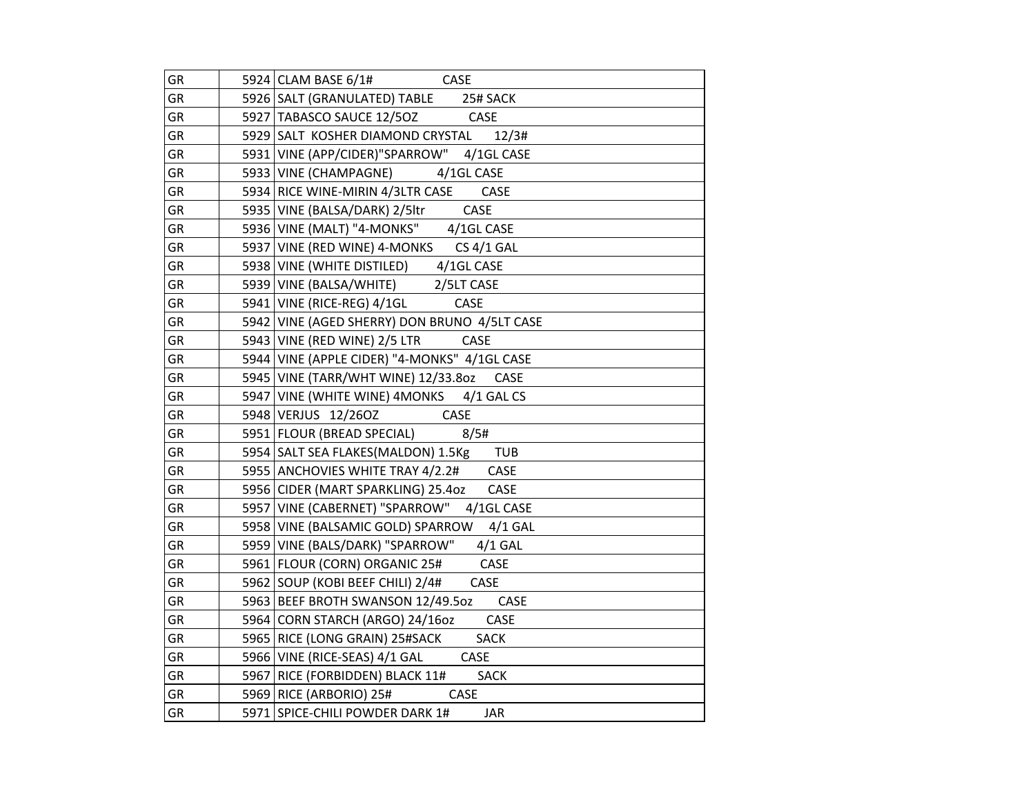| GR        | $5924$ CLAM BASE $6/1#$ CASE                     |
|-----------|--------------------------------------------------|
| <b>GR</b> | 5926 SALT (GRANULATED) TABLE 25# SACK            |
| GR        | 5927 TABASCO SAUCE 12/5OZ CASE                   |
| GR        | 5929 SALT KOSHER DIAMOND CRYSTAL 12/3#           |
| GR        | 5931 VINE (APP/CIDER)"SPARROW" 4/1GL CASE        |
| GR        | 5933 VINE (CHAMPAGNE) 4/1GL CASE                 |
| GR        | 5934 RICE WINE-MIRIN 4/3LTR CASE CASE            |
| GR        | 5935 VINE (BALSA/DARK) 2/5ltr<br>CASE            |
| GR        | 5936 VINE (MALT) "4-MONKS" 4/1GL CASE            |
| GR        | 5937 VINE (RED WINE) 4-MONKS CS 4/1 GAL          |
| <b>GR</b> | 5938 VINE (WHITE DISTILED)<br>4/1GL CASE         |
| GR        | 5939 VINE (BALSA/WHITE) 2/5LT CASE               |
| GR        | 5941 VINE (RICE-REG) 4/1GL CASE                  |
| GR        | 5942 VINE (AGED SHERRY) DON BRUNO 4/5LT CASE     |
| GR        | 5943 VINE (RED WINE) 2/5 LTR CASE                |
| GR        | 5944 VINE (APPLE CIDER) "4-MONKS" 4/1GL CASE     |
| GR        | 5945 VINE (TARR/WHT WINE) 12/33.80Z CASE         |
| GR        | 5947 VINE (WHITE WINE) 4MONKS 4/1 GAL CS         |
| GR        | 5948 VERJUS 12/260Z CASE                         |
| GR        | 5951 FLOUR (BREAD SPECIAL) 8/5#                  |
| GR        | 5954 SALT SEA FLAKES (MALDON) 1.5Kg TUB          |
| GR        | 5955 ANCHOVIES WHITE TRAY 4/2.2# CASE            |
| GR        | 5956 CIDER (MART SPARKLING) 25.4oz<br>CASE       |
| GR        | 5957 VINE (CABERNET) "SPARROW"<br>4/1GL CASE     |
| GR        | 5958 VINE (BALSAMIC GOLD) SPARROW<br>$4/1$ GAL   |
| GR        | 5959 VINE (BALS/DARK) "SPARROW" 4/1 GAL          |
| GR        | 5961 FLOUR (CORN) ORGANIC 25# CASE               |
| GR        | 5962 SOUP (KOBI BEEF CHILI) 2/4#<br>CASE         |
| GR        | 5963 BEEF BROTH SWANSON 12/49.50Z<br><b>CASE</b> |
| GR        | CASE<br>5964 CORN STARCH (ARGO) 24/16oz          |
| GR        | 5965 RICE (LONG GRAIN) 25#SACK<br><b>SACK</b>    |
| GR        | 5966 VINE (RICE-SEAS) 4/1 GAL CASE               |
| GR        | 5967 RICE (FORBIDDEN) BLACK 11#<br><b>SACK</b>   |
| GR        | 5969 RICE (ARBORIO) 25# CASE                     |
| GR        | 5971 SPICE-CHILI POWDER DARK 1#<br><b>JAR</b>    |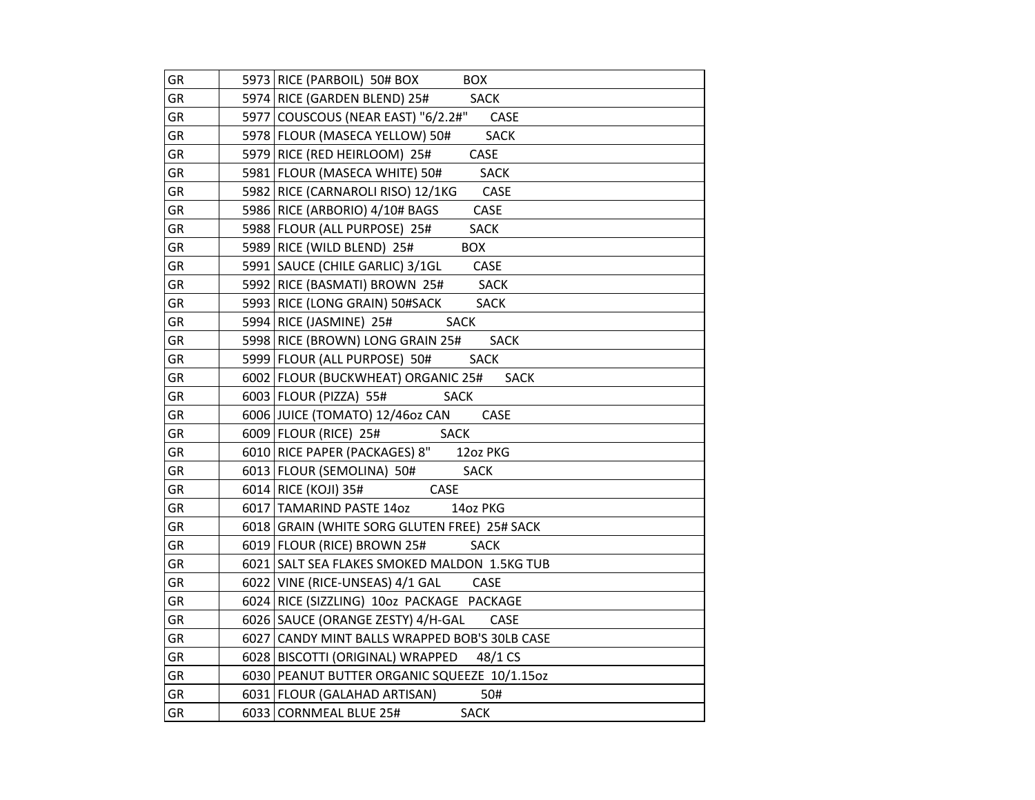| GR        | 5973 RICE (PARBOIL) 50# BOX<br><b>BOX</b>         |
|-----------|---------------------------------------------------|
| GR        | 5974 RICE (GARDEN BLEND) 25#<br><b>SACK</b>       |
| <b>GR</b> | 5977 COUSCOUS (NEAR EAST) "6/2.2#"<br>CASE        |
| GR        | 5978 FLOUR (MASECA YELLOW) 50#<br><b>SACK</b>     |
| GR        | CASE<br>5979 RICE (RED HEIRLOOM) 25#              |
| GR        | 5981   FLOUR (MASECA WHITE) 50#<br><b>SACK</b>    |
| GR        | 5982 RICE (CARNAROLI RISO) 12/1KG<br>CASE         |
| GR        | 5986 RICE (ARBORIO) 4/10# BAGS<br>CASE            |
| GR        | 5988 FLOUR (ALL PURPOSE) 25#<br><b>SACK</b>       |
| GR        | 5989 RICE (WILD BLEND) 25#<br><b>BOX</b>          |
| GR        | 5991 SAUCE (CHILE GARLIC) 3/1GL<br>CASE           |
| GR        | <b>SACK</b><br>5992 RICE (BASMATI) BROWN 25#      |
| GR        | 5993 RICE (LONG GRAIN) 50#SACK<br><b>SACK</b>     |
| GR        | 5994 RICE (JASMINE) 25#<br><b>SACK</b>            |
| GR        | 5998 RICE (BROWN) LONG GRAIN 25#<br><b>SACK</b>   |
| GR        | 5999 FLOUR (ALL PURPOSE) 50#<br><b>SACK</b>       |
| GR        | 6002 FLOUR (BUCKWHEAT) ORGANIC 25#<br><b>SACK</b> |
| GR        | 6003   FLOUR (PIZZA) 55#<br>SACK                  |
| GR        | 6006 JUICE (TOMATO) 12/46oz CAN<br>CASE           |
| GR        | 6009 FLOUR (RICE) 25#<br><b>SACK</b>              |
| GR        | 6010 RICE PAPER (PACKAGES) 8"<br>12oz PKG         |
| GR        | 6013 FLOUR (SEMOLINA) 50#<br><b>SACK</b>          |
| GR        | 6014 RICE (KOJI) 35#<br>CASE                      |
| GR        | 6017 TAMARIND PASTE 14oz<br>14oz PKG              |
| GR        | 6018 GRAIN (WHITE SORG GLUTEN FREE) 25# SACK      |
| GR        | 6019 FLOUR (RICE) BROWN 25#<br><b>SACK</b>        |
| GR        | 6021 SALT SEA FLAKES SMOKED MALDON 1.5KG TUB      |
| GR        | 6022 VINE (RICE-UNSEAS) 4/1 GAL CASE              |
| GR        | 6024 RICE (SIZZLING) 10oz PACKAGE PACKAGE         |
| GR        | 6026   SAUCE (ORANGE ZESTY) 4/H-GAL<br>CASE       |
| GR        | 6027 CANDY MINT BALLS WRAPPED BOB'S 30LB CASE     |
| GR        | 6028 BISCOTTI (ORIGINAL) WRAPPED 48/1 CS          |
| GR        | 6030 PEANUT BUTTER ORGANIC SQUEEZE 10/1.15oz      |
| GR        | 6031   FLOUR (GALAHAD ARTISAN)<br>50#             |
| GR        | 6033 CORNMEAL BLUE 25#<br><b>SACK</b>             |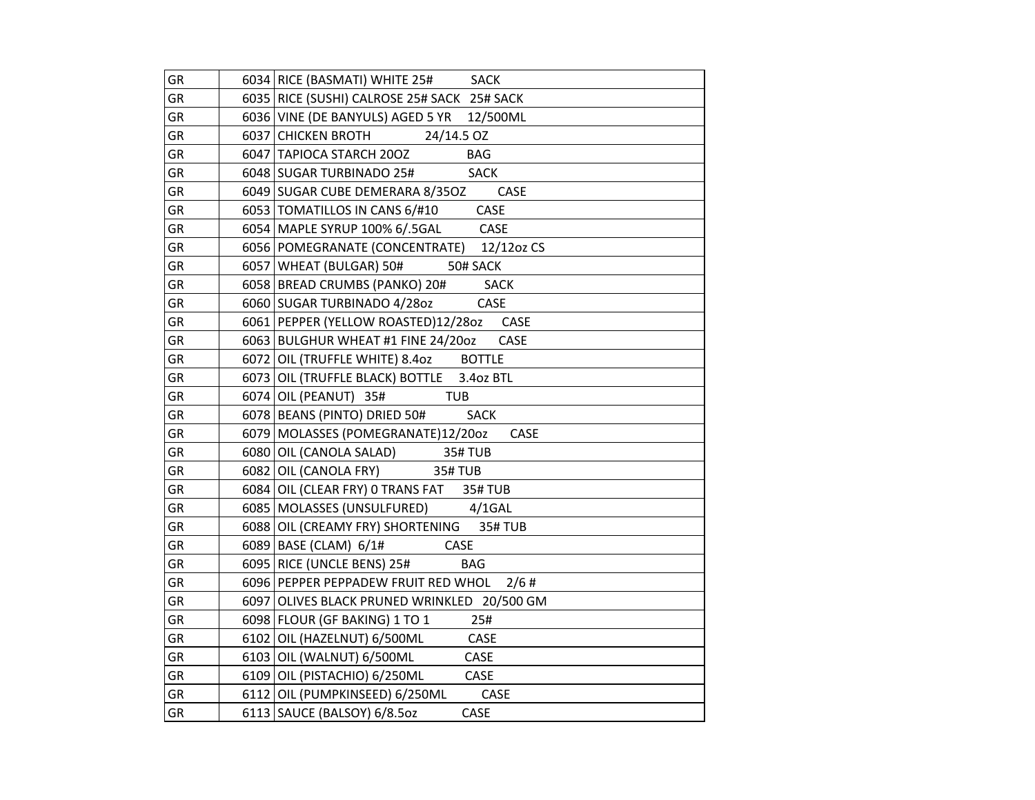| GR | 6034 RICE (BASMATI) WHITE 25# SACK           |
|----|----------------------------------------------|
| GR | 6035 RICE (SUSHI) CALROSE 25# SACK 25# SACK  |
| GR | 6036 VINE (DE BANYULS) AGED 5 YR 12/500ML    |
| GR | 24/14.5 OZ<br>6037 CHICKEN BROTH             |
| GR | <b>BAG</b><br>6047   TAPIOCA STARCH 200Z     |
| GR | <b>SACK</b><br>6048 SUGAR TURBINADO 25#      |
| GR | CASE<br>6049 SUGAR CUBE DEMERARA 8/350Z      |
| GR | CASE<br>6053 TOMATILLOS IN CANS 6/#10        |
| GR | 6054   MAPLE SYRUP 100% 6/.5GAL CASE         |
| GR | 6056 POMEGRANATE (CONCENTRATE) 12/12oz CS    |
| GR | 6057   WHEAT (BULGAR) 50#<br>50# SACK        |
| GR | 6058 BREAD CRUMBS (PANKO) 20# SACK           |
| GR | 6060 SUGAR TURBINADO 4/280z<br>CASE          |
| GR | 6061 PEPPER (YELLOW ROASTED)12/28oz<br>CASE  |
| GR | 6063 BULGHUR WHEAT #1 FINE 24/2002<br>CASE   |
| GR | 6072 OIL (TRUFFLE WHITE) 8.4oz BOTTLE        |
| GR | 6073 OIL (TRUFFLE BLACK) BOTTLE 3.40z BTL    |
| GR | 6074 OIL (PEANUT) 35#<br><b>TUB</b>          |
| GR | 6078 BEANS (PINTO) DRIED 50# SACK            |
| GR | 6079   MOLASSES (POMEGRANATE)12/20oz<br>CASE |
| GR | 6080 OIL (CANOLA SALAD) 35# TUB              |
| GR | 6082 OIL (CANOLA FRY)<br><b>35#TUB</b>       |
| GR | 6084 OIL (CLEAR FRY) 0 TRANS FAT 35# TUB     |
| GR | 6085   MOLASSES (UNSULFURED) 4/1GAL          |
| GR | 6088 OIL (CREAMY FRY) SHORTENING 35# TUB     |
| GR | 6089 BASE (CLAM) $6/1#$<br>CASE              |
| GR | 6095   RICE (UNCLE BENS) 25#<br><b>BAG</b>   |
| GR | 6096 PEPPER PEPPADEW FRUIT RED WHOL 2/6 #    |
| GR | 6097 OLIVES BLACK PRUNED WRINKLED 20/500 GM  |
| GR | 6098 FLOUR (GF BAKING) 1 TO 1<br>25#         |
| GR | 6102 OIL (HAZELNUT) 6/500ML<br>CASE          |
| GR | 6103 OIL (WALNUT) 6/500ML<br>CASE            |
| GR | 6109 OIL (PISTACHIO) 6/250ML CASE            |
| GR | 6112 OIL (PUMPKINSEED) 6/250ML CASE          |
| GR | CASE<br>6113 SAUCE (BALSOY) 6/8.5oz          |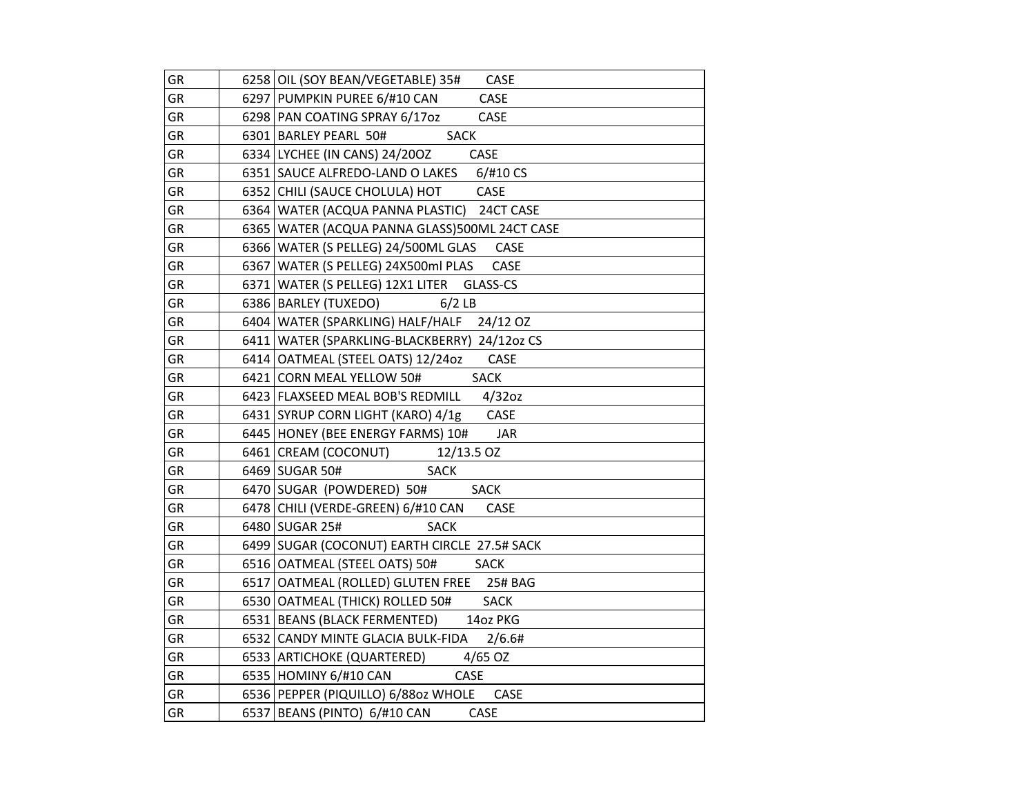| GR        | 6258 OIL (SOY BEAN/VEGETABLE) 35#<br><b>CASE</b> |
|-----------|--------------------------------------------------|
| GR        | 6297   PUMPKIN PUREE 6/#10 CAN<br>CASE           |
| GR        | 6298 PAN COATING SPRAY 6/17oz<br>CASE            |
| GR        | <b>SACK</b><br>6301 BARLEY PEARL 50#             |
| GR        | 6334 LYCHEE (IN CANS) 24/200Z<br>CASE            |
| GR        | 6351 SAUCE ALFREDO-LAND O LAKES 6/#10 CS         |
| GR        | CASE<br>6352 CHILI (SAUCE CHOLULA) HOT           |
| GR        | 6364 WATER (ACQUA PANNA PLASTIC) 24CT CASE       |
| GR        | 6365   WATER (ACQUA PANNA GLASS)500ML 24CT CASE  |
| GR        | 6366   WATER (S PELLEG) 24/500ML GLAS CASE       |
| GR        | 6367   WATER (S PELLEG) 24X500ml PLAS<br>CASE    |
| <b>GR</b> | 6371 WATER (S PELLEG) 12X1 LITER<br>GLASS-CS     |
| GR        | 6386   BARLEY (TUXEDO) 6/2 LB                    |
| GR        | 6404 WATER (SPARKLING) HALF/HALF 24/12 OZ        |
| GR        | 6411   WATER (SPARKLING-BLACKBERRY) 24/12oz CS   |
| GR        | 6414 OATMEAL (STEEL OATS) 12/24oz<br>CASE        |
| GR        | 6421 CORN MEAL YELLOW 50#<br><b>SACK</b>         |
| GR        | $4/32$ oz<br>6423 FLAXSEED MEAL BOB'S REDMILL    |
| GR        | 6431 SYRUP CORN LIGHT (KARO) 4/1g CASE           |
| GR        | 6445 HONEY (BEE ENERGY FARMS) 10# JAR            |
| GR        | 6461 CREAM (COCONUT)<br>12/13.5 OZ               |
| GR        | <b>SACK</b><br>6469 SUGAR 50#                    |
| GR        | 6470 SUGAR (POWDERED) 50#<br><b>SACK</b>         |
| GR        | 6478 CHILI (VERDE-GREEN) 6/#10 CAN<br>CASE       |
| GR        | 6480 SUGAR 25#<br><b>SACK</b>                    |
| GR        | 6499 SUGAR (COCONUT) EARTH CIRCLE 27.5# SACK     |
| GR        | 6516 OATMEAL (STEEL OATS) 50#<br><b>SACK</b>     |
| GR        | 6517 OATMEAL (ROLLED) GLUTEN FREE 25# BAG        |
| GR        | 6530 OATMEAL (THICK) ROLLED 50#<br><b>SACK</b>   |
| GR        | 14oz PKG<br>6531   BEANS (BLACK FERMENTED)       |
| GR        | 6532 CANDY MINTE GLACIA BULK-FIDA<br>2/6.6#      |
| GR        | 4/65 OZ<br>6533 ARTICHOKE (QUARTERED)            |
| GR        | 6535 HOMINY 6/#10 CAN<br>CASE                    |
| GR        | 6536 PEPPER (PIQUILLO) 6/88oz WHOLE<br>CASE      |
| GR        | 6537   BEANS (PINTO) 6/#10 CAN<br><b>CASE</b>    |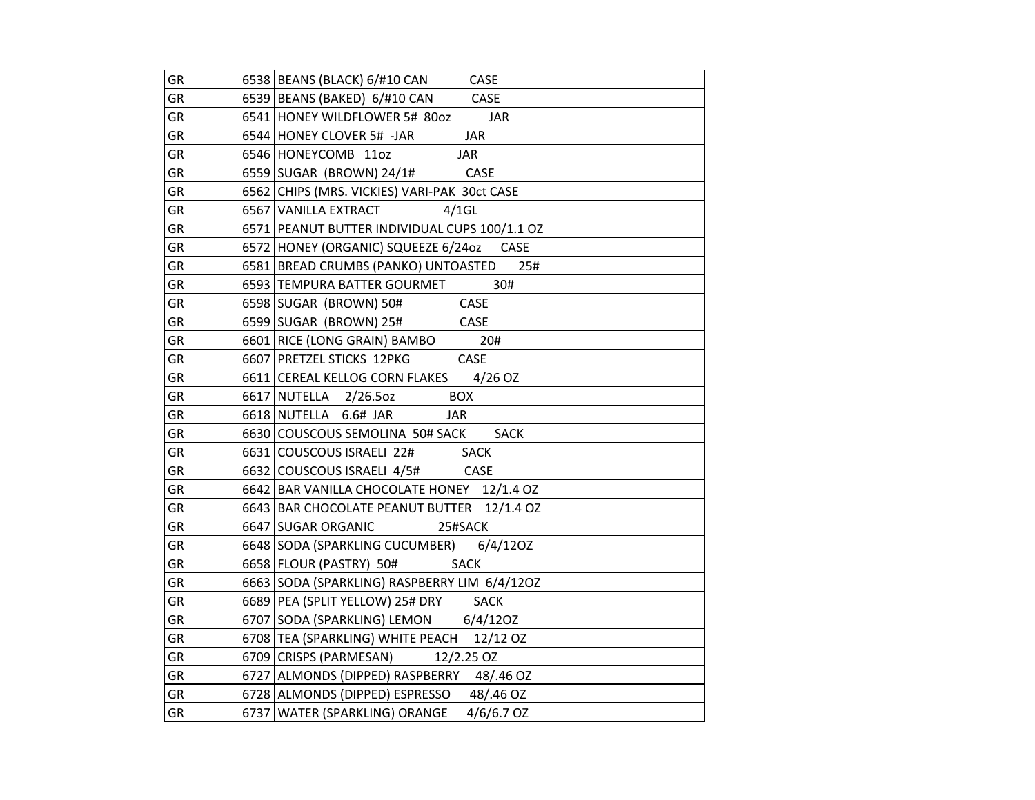| GR        | 6538 BEANS (BLACK) 6/#10 CAN CASE                  |
|-----------|----------------------------------------------------|
| GR        | 6539 BEANS (BAKED) 6/#10 CAN CASE                  |
| GR        | 6541 HONEY WILDFLOWER 5# 80oz<br><b>JAR</b>        |
| GR        | 6544 HONEY CLOVER 5# -JAR<br><b>JAR</b>            |
| GR        | 6546 HONEYCOMB 110Z<br><b>JAR</b>                  |
| GR        | 6559 SUGAR (BROWN) 24/1# CASE                      |
| GR        | 6562 CHIPS (MRS. VICKIES) VARI-PAK 30ct CASE       |
| <b>GR</b> | $4/1$ GL<br>6567 VANILLA EXTRACT                   |
| GR        | 6571 PEANUT BUTTER INDIVIDUAL CUPS 100/1.1 OZ      |
| GR        | 6572 HONEY (ORGANIC) SQUEEZE 6/24oz<br><b>CASE</b> |
| GR        | 6581 BREAD CRUMBS (PANKO) UNTOASTED<br>25#         |
| GR        | 6593 TEMPURA BATTER GOURMET<br>30#                 |
| GR        | CASE<br>6598 SUGAR (BROWN) 50#                     |
| GR        | 6599 SUGAR (BROWN) 25#<br>CASE                     |
| GR        | 20#<br>6601 RICE (LONG GRAIN) BAMBO                |
| <b>GR</b> | CASE<br>6607 PRETZEL STICKS 12PKG                  |
| GR        | 6611 CEREAL KELLOG CORN FLAKES 4/26 OZ             |
| <b>GR</b> | 6617 NUTELLA 2/26.5oz<br><b>BOX</b>                |
| GR        | 6618 NUTELLA 6.6# JAR<br>JAR                       |
| GR        | 6630 COUSCOUS SEMOLINA 50# SACK<br><b>SACK</b>     |
| GR        | 6631 COUSCOUS ISRAELI 22# SACK                     |
| GR        | 6632 COUSCOUS ISRAELI 4/5# CASE                    |
| GR        | 6642 BAR VANILLA CHOCOLATE HONEY 12/1.4 OZ         |
| GR        | 6643 BAR CHOCOLATE PEANUT BUTTER 12/1.4 OZ         |
| GR        | 6647 SUGAR ORGANIC<br>25#SACK                      |
| GR        | 6648 SODA (SPARKLING CUCUMBER) 6/4/120Z            |
| GR        | <b>SACK</b><br>6658 FLOUR (PASTRY) 50#             |
| GR        | 6663 SODA (SPARKLING) RASPBERRY LIM 6/4/120Z       |
| GR        | 6689   PEA (SPLIT YELLOW) 25# DRY SACK             |
| GR        | 6707 SODA (SPARKLING) LEMON 6/4/120Z               |
| GR        | 6708 TEA (SPARKLING) WHITE PEACH 12/12 OZ          |
| GR        | 6709 CRISPS (PARMESAN) 12/2.25 OZ                  |
| GR        | 6727 ALMONDS (DIPPED) RASPBERRY 48/.46 OZ          |
| GR        | 6728 ALMONDS (DIPPED) ESPRESSO 48/.46 OZ           |
| GR        | 6737   WATER (SPARKLING) ORANGE<br>$4/6/6.7$ OZ    |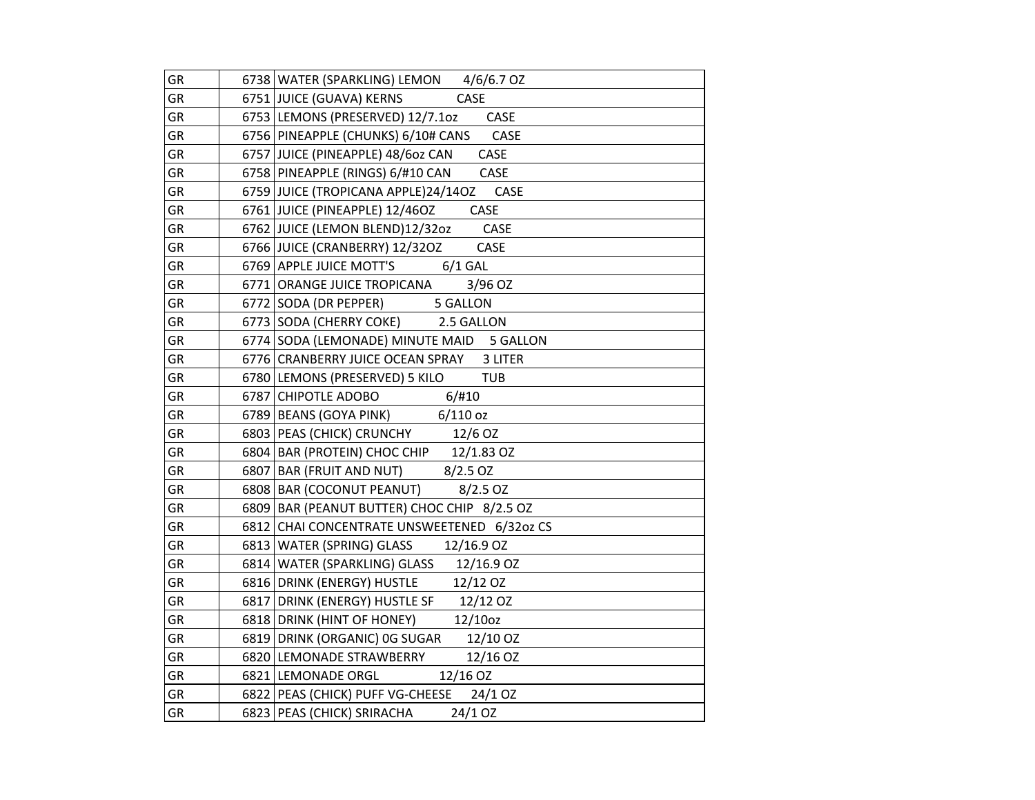| GR        | 6738 WATER (SPARKLING) LEMON 4/6/6.7 OZ                                       |
|-----------|-------------------------------------------------------------------------------|
| GR        | 6751 JUICE (GUAVA) KERNS<br>CASE                                              |
| GR        | 6753 LEMONS (PRESERVED) 12/7.1oz CASE                                         |
| GR        | 6756 PINEAPPLE (CHUNKS) 6/10# CANS CASE                                       |
| <b>GR</b> | 6757 JUICE (PINEAPPLE) 48/60z CAN<br>CASE                                     |
| GR        | 6758 PINEAPPLE (RINGS) 6/#10 CAN<br>CASE                                      |
| GR        | 6759 JUICE (TROPICANA APPLE)24/14OZ CASE                                      |
| GR        | 6761 JUICE (PINEAPPLE) 12/46OZ<br>CASE                                        |
| GR        | 6762 JUICE (LEMON BLEND)12/32oz CASE                                          |
| GR        | 6766 JUICE (CRANBERRY) 12/32OZ<br>CASE                                        |
| <b>GR</b> | 6769 APPLE JUICE MOTT'S 6/1 GAL                                               |
| <b>GR</b> | 3/96 OZ<br>6771 ORANGE JUICE TROPICANA                                        |
| GR        | 6772 SODA (DR PEPPER) 5 GALLON                                                |
| GR        | 6773 SODA (CHERRY COKE) 2.5 GALLON                                            |
| GR        | 6774 SODA (LEMONADE) MINUTE MAID 5 GALLON                                     |
| GR        | 6776 CRANBERRY JUICE OCEAN SPRAY 3 LITER                                      |
| GR        | 6780 LEMONS (PRESERVED) 5 KILO<br><b>TUB</b>                                  |
| <b>GR</b> | 6787 CHIPOTLE ADOBO<br>6/#10                                                  |
| GR        | $6789$ BEANS (GOYA PINK) 6/110 oz                                             |
| GR        | 6803 PEAS (CHICK) CRUNCHY 12/6 OZ                                             |
| GR        | $\frac{6804}{6907}$ BAR (PROTEIN) CHOC CHIP 12/1.83 OZ                        |
| GR        | 6807 BAR (FRUIT AND NUT) 8/2.5 OZ                                             |
| <b>GR</b> | 6808   BAR (COCONUT PEANUT)<br>$8/2.5$ OZ                                     |
| GR        | 6809 BAR (PEANUT BUTTER) CHOC CHIP 8/2.5 OZ                                   |
| GR        | 6812 CHAI CONCENTRATE UNSWEETENED 6/32oz CS                                   |
| GR        | 6813   WATER (SPRING) GLASS 12/16.9 OZ                                        |
| GR        | 6814 WATER (SPARKLING) GLASS 12/16.9 OZ                                       |
| GR        | 6816 DRINK (ENERGY) HUSTLE 12/12 OZ<br>6817 DRINK (ENERGY) HUSTLE SF 12/12 OZ |
| GR        |                                                                               |
| GR        | 6818 DRINK (HINT OF HONEY)<br>12/100z                                         |
| GR        | 6819 DRINK (ORGANIC) OG SUGAR 12/10 OZ                                        |
| GR        | 6820 LEMONADE STRAWBERRY<br>12/16 OZ                                          |
| GR        | 6821 LEMONADE ORGL<br>12/16 OZ                                                |
| GR        | 6822 PEAS (CHICK) PUFF VG-CHEESE 24/1 OZ                                      |
| GR        | 6823 PEAS (CHICK) SRIRACHA<br>24/1 OZ                                         |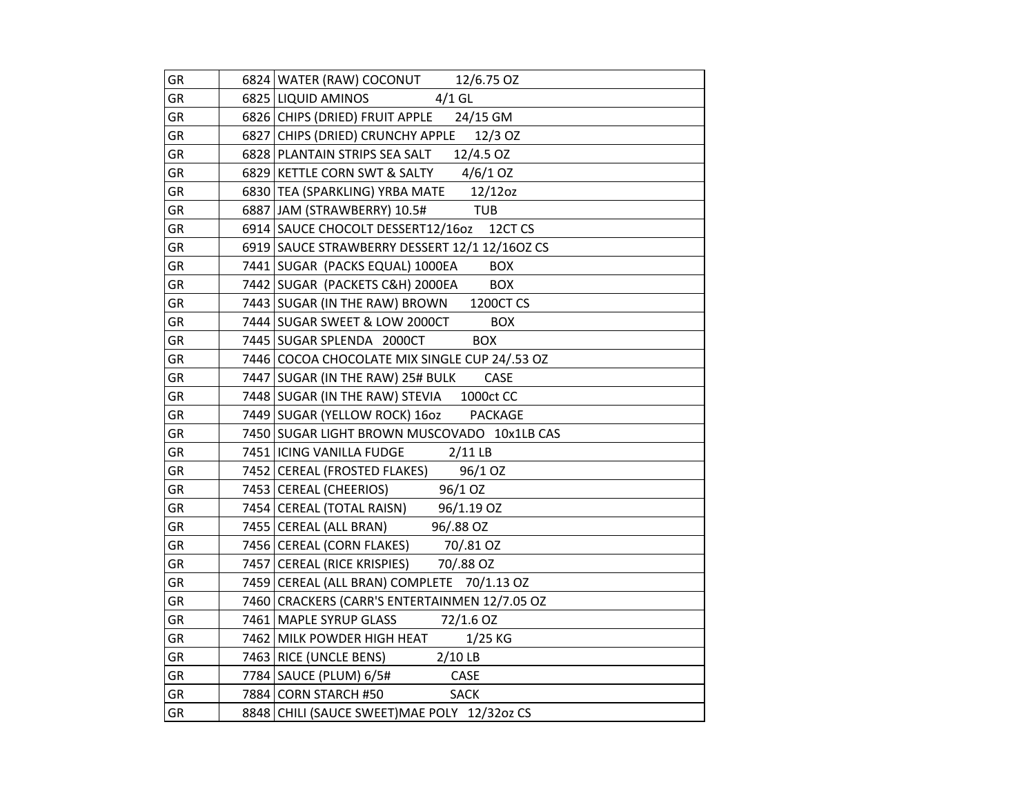| GR        | 6824   WATER (RAW) COCONUT 12/6.75 OZ                       |
|-----------|-------------------------------------------------------------|
| GR        | $4/1$ GL<br>6825 LIQUID AMINOS                              |
| GR        | 6826 CHIPS (DRIED) FRUIT APPLE 24/15 GM                     |
| <b>GR</b> | 6827 CHIPS (DRIED) CRUNCHY APPLE<br>12/3 OZ                 |
| GR        | 6828 PLANTAIN STRIPS SEA SALT 12/4.5 OZ                     |
| GR        | 6829 KETTLE CORN SWT & SALTY 4/6/1 OZ                       |
| GR        | 6830 TEA (SPARKLING) YRBA MATE 12/12oz                      |
| GR        | 6887 JAM (STRAWBERRY) 10.5#<br>$\overline{\phantom{a}}$ TUB |
| GR        | 6914 SAUCE CHOCOLT DESSERT12/16oz 12CT CS                   |
| GR        | 6919 SAUCE STRAWBERRY DESSERT 12/1 12/16OZ CS               |
| GR        | 7441 SUGAR (PACKS EQUAL) 1000EA<br><b>BOX</b>               |
| GR        | 7442 SUGAR (PACKETS C&H) 2000EA<br><b>BOX</b>               |
| GR        | 7443 SUGAR (IN THE RAW) BROWN 1200CT CS                     |
| GR        | 7444 SUGAR SWEET & LOW 2000CT<br><b>BOX</b>                 |
| GR        | <b>BOX</b><br>7445 SUGAR SPLENDA 2000CT                     |
| GR        | 7446 COCOA CHOCOLATE MIX SINGLE CUP 24/.53 OZ               |
| GR        | 7447   SUGAR (IN THE RAW) 25# BULK<br>CASE                  |
| GR        | 7448 SUGAR (IN THE RAW) STEVIA 1000ct CC                    |
| GR        | 7449 SUGAR (YELLOW ROCK) 16oz PACKAGE                       |
| GR        | 7450 SUGAR LIGHT BROWN MUSCOVADO 10x1LB CAS                 |
| GR        | 7451   ICING VANILLA FUDGE 2/11 LB                          |
| GR        | 7452 CEREAL (FROSTED FLAKES)<br>96/1 OZ                     |
| GR        | 96/1 OZ<br>7453   CEREAL (CHEERIOS)                         |
| GR        | 7454 CEREAL (TOTAL RAISN) 96/1.19 OZ                        |
| GR        | 96/.88 OZ<br>7455   CEREAL (ALL BRAN)                       |
| GR        | 7456 CEREAL (CORN FLAKES) 70/.81 OZ                         |
| GR        | 7457 CEREAL (RICE KRISPIES) 70/88 OZ                        |
| GR        | 7459 CEREAL (ALL BRAN) COMPLETE 70/1.13 OZ                  |
| GR        | 7460 CRACKERS (CARR'S ENTERTAINMEN 12/7.05 OZ               |
| GR        | 7461 MAPLE SYRUP GLASS<br>72/1.6 OZ                         |
| GR        | 7462 MILK POWDER HIGH HEAT<br>$1/25$ KG                     |
| GR        | 7463 RICE (UNCLE BENS) 2/10 LB                              |
| GR        | 7784   SAUCE (PLUM) 6/5#<br>CASE                            |
| GR        | 7884 CORN STARCH #50<br><b>SACK</b>                         |
| GR        | 8848 CHILI (SAUCE SWEET) MAE POLY 12/32oz CS                |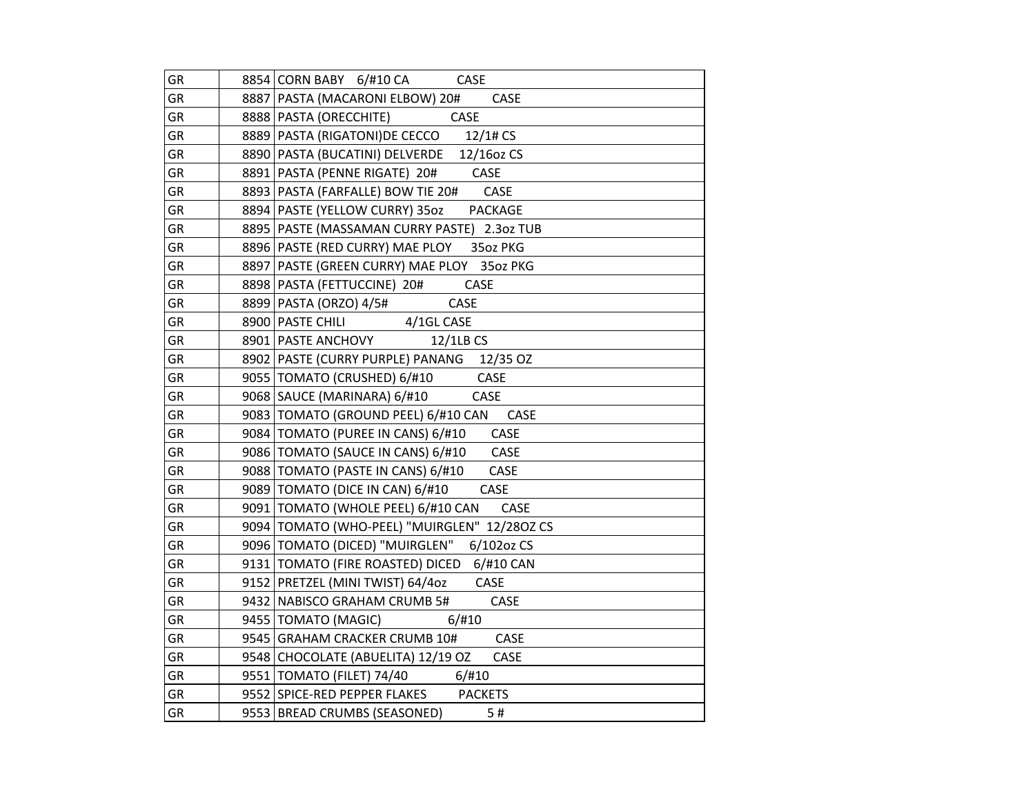| GR        | 8854 CORN BABY 6/#10 CA<br>CASE               |
|-----------|-----------------------------------------------|
| GR        | 8887   PASTA (MACARONI ELBOW) 20#<br>CASE     |
| GR        | 8888 PASTA (ORECCHITE)<br><b>CASE</b>         |
| GR        | 8889   PASTA (RIGATONI) DE CECCO 12/1# CS     |
| GR        | 8890 PASTA (BUCATINI) DELVERDE 12/16oz CS     |
| GR        | 8891   PASTA (PENNE RIGATE) 20# CASE          |
| GR        | 8893   PASTA (FARFALLE) BOW TIE 20# CASE      |
| GR        | 8894   PASTE (YELLOW CURRY) 35oz PACKAGE      |
| GR        | 8895   PASTE (MASSAMAN CURRY PASTE) 2.3oz TUB |
| GR        | 8896 PASTE (RED CURRY) MAE PLOY 350Z PKG      |
| GR        | 8897 PASTE (GREEN CURRY) MAE PLOY 350z PKG    |
| <b>GR</b> | 8898   PASTA (FETTUCCINE) 20#<br>CASE         |
| GR        | 8899   PASTA (ORZO) 4/5#<br>CASE              |
| GR        | 8900 PASTE CHILI 4/1GL CASE                   |
| GR        | 8901   PASTE ANCHOVY 12/1LB CS                |
| GR        | 8902 PASTE (CURRY PURPLE) PANANG 12/35 OZ     |
| GR        | 9055 TOMATO (CRUSHED) 6/#10<br>CASE           |
| GR        | 9068   SAUCE (MARINARA) 6/#10<br>CASE         |
| GR        | 9083 TOMATO (GROUND PEEL) 6/#10 CAN<br>CASE   |
| GR        | 9084   TOMATO (PUREE IN CANS) 6/#10 CASE      |
| GR        | 9086   TOMATO (SAUCE IN CANS) 6/#10 CASE      |
| GR        | 9088   TOMATO (PASTE IN CANS) 6/#10<br>CASE   |
| <b>GR</b> | 9089 TOMATO (DICE IN CAN) 6/#10<br>CASE       |
| GR        | 9091   TOMATO (WHOLE PEEL) 6/#10 CAN<br>CASE  |
| GR        | 9094 TOMATO (WHO-PEEL) "MUIRGLEN" 12/280Z CS  |
| GR        | 9096   TOMATO (DICED) "MUIRGLEN" 6/102oz CS   |
| GR        | 9131   TOMATO (FIRE ROASTED) DICED 6/#10 CAN  |
| GR        | 9152 PRETZEL (MINI TWIST) 64/4oz<br>CASE      |
| GR        | 9432 NABISCO GRAHAM CRUMB 5#<br>CASE          |
| GR        | 9455   TOMATO (MAGIC)<br>6/#10                |
| GR        | 9545 GRAHAM CRACKER CRUMB 10# CASE            |
| GR        | 9548 CHOCOLATE (ABUELITA) 12/19 OZ CASE       |
| GR        | 9551 TOMATO (FILET) 74/40 6/#10               |
| GR        | 9552 SPICE-RED PEPPER FLAKES PACKETS          |
| GR        | 9553   BREAD CRUMBS (SEASONED)<br>5#          |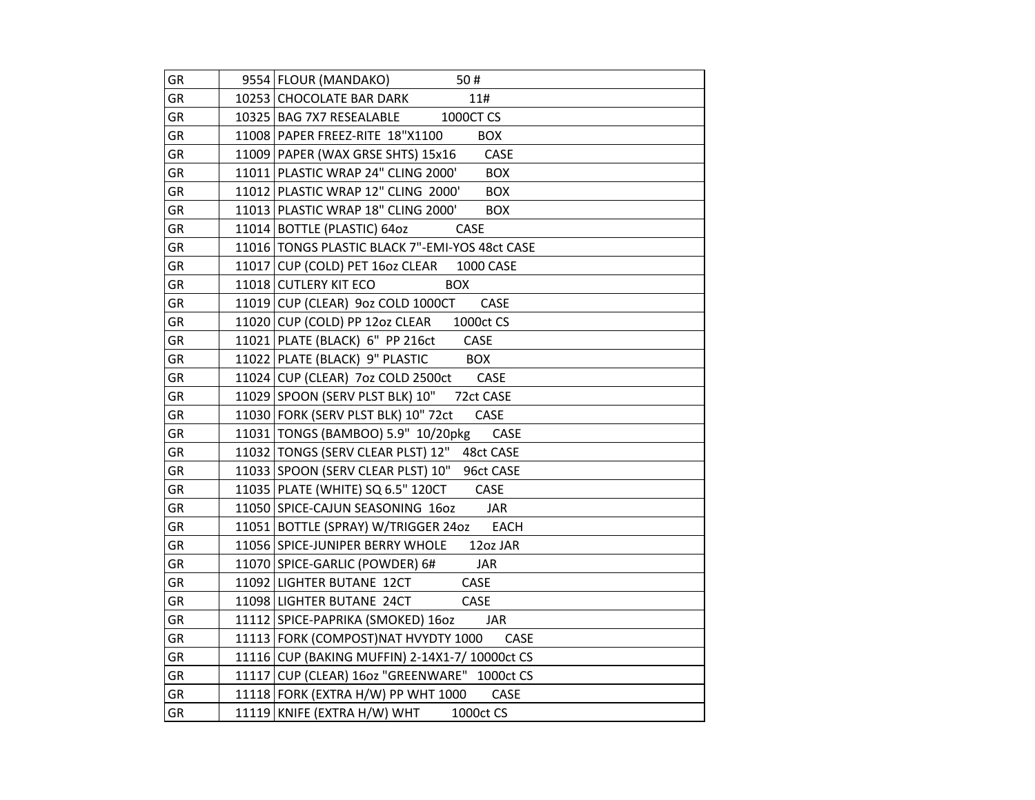| GR        | 9554 FLOUR (MANDAKO)<br>50#                      |
|-----------|--------------------------------------------------|
| GR        | 10253 CHOCOLATE BAR DARK<br>11#                  |
| <b>GR</b> | 10325 BAG 7X7 RESEALABLE 1000CT CS               |
| GR        | 11008 PAPER FREEZ-RITE 18"X1100<br><b>BOX</b>    |
| GR        | 11009 PAPER (WAX GRSE SHTS) 15x16<br>CASE        |
| GR        | 11011 PLASTIC WRAP 24" CLING 2000'<br><b>BOX</b> |
| GR        | 11012 PLASTIC WRAP 12" CLING 2000'<br><b>BOX</b> |
| <b>GR</b> | 11013 PLASTIC WRAP 18" CLING 2000'<br><b>BOX</b> |
| GR        | 11014 BOTTLE (PLASTIC) 64oz<br>CASE              |
| GR        | 11016 TONGS PLASTIC BLACK 7"-EMI-YOS 48ct CASE   |
| GR        | 11017 CUP (COLD) PET 160z CLEAR 1000 CASE        |
| GR        | 11018 CUTLERY KIT ECO<br><b>BOX</b>              |
| GR        | 11019 CUP (CLEAR) 9oz COLD 1000CT<br>CASE        |
| GR        | 11020 CUP (COLD) PP 12oz CLEAR<br>1000ct CS      |
| GR        | 11021 PLATE (BLACK) 6" PP 216ct<br>CASE          |
| <b>GR</b> | 11022 PLATE (BLACK) 9" PLASTIC<br><b>BOX</b>     |
| GR        | 11024 CUP (CLEAR) 7oz COLD 2500ct CASE           |
| GR        | 11029 SPOON (SERV PLST BLK) 10" 72ct CASE        |
| GR        | 11030 FORK (SERV PLST BLK) 10" 72ct CASE         |
| GR        | 11031   TONGS (BAMBOO) 5.9" 10/20pkg<br>CASE     |
| GR        | 11032 TONGS (SERV CLEAR PLST) 12" 48ct CASE      |
| GR        | 11033 SPOON (SERV CLEAR PLST) 10" 96ct CASE      |
| GR        | 11035   PLATE (WHITE) SQ 6.5" 120CT<br>CASE      |
| GR        | 11050 SPICE-CAJUN SEASONING 16oz<br><b>JAR</b>   |
| GR        | 11051 BOTTLE (SPRAY) W/TRIGGER 240Z EACH         |
| GR        | 11056 SPICE-JUNIPER BERRY WHOLE<br>12oz JAR      |
| GR        | 11070 SPICE-GARLIC (POWDER) 6#<br>JAR            |
| GR        | 11092 LIGHTER BUTANE 12CT<br>CASE                |
| GR        | 11098 LIGHTER BUTANE 24CT<br>CASE                |
| GR        | 11112 SPICE-PAPRIKA (SMOKED) 1602<br>JAR         |
| GR        | 11113 FORK (COMPOST)NAT HVYDTY 1000<br>CASE      |
| GR        | 11116 CUP (BAKING MUFFIN) 2-14X1-7/ 10000ct CS   |
| GR        | 11117 CUP (CLEAR) 160z "GREENWARE" 1000ct CS     |
| GR        | 11118 FORK (EXTRA H/W) PP WHT 1000<br>CASE       |
| GR        | 11119 KNIFE (EXTRA H/W) WHT<br>1000ct CS         |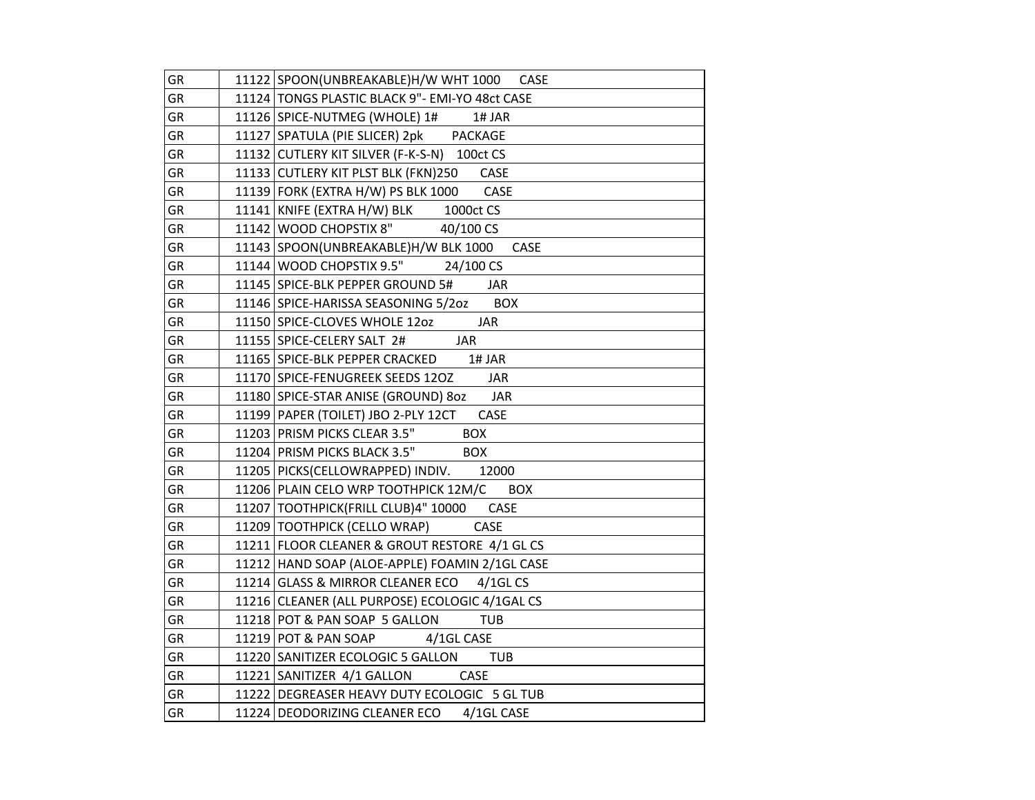| GR        | 11122 SPOON(UNBREAKABLE)H/W WHT 1000 CASE          |
|-----------|----------------------------------------------------|
| <b>GR</b> | 11124   TONGS PLASTIC BLACK 9" - EMI-YO 48ct CASE  |
| GR        | 11126 SPICE-NUTMEG (WHOLE) 1#<br>1# JAR            |
| GR        | 11127 SPATULA (PIE SLICER) 2pk PACKAGE             |
| GR        | 11132 CUTLERY KIT SILVER (F-K-S-N) 100ct CS        |
| GR        | 11133 CUTLERY KIT PLST BLK (FKN)250<br>CASE        |
| GR        | 11139 FORK (EXTRA H/W) PS BLK 1000<br>CASE         |
| GR        | 11141 KNIFE (EXTRA H/W) BLK<br>1000ct CS           |
| GR        | 11142 WOOD CHOPSTIX 8" 40/100 CS                   |
| GR        | 11143 SPOON(UNBREAKABLE)H/W BLK 1000<br>CASE       |
| GR        | 11144 WOOD CHOPSTIX 9.5" 24/100 CS                 |
| GR        | 11145 SPICE-BLK PEPPER GROUND 5#<br><b>JAR</b>     |
| GR        | 11146 SPICE-HARISSA SEASONING 5/202 BOX            |
| GR        | 11150 SPICE-CLOVES WHOLE 1202<br><b>JAR</b>        |
| GR        | 11155   SPICE-CELERY SALT 2#<br><b>JAR</b>         |
| GR        | 11165 SPICE-BLK PEPPER CRACKED<br>1# JAR           |
| GR        | 11170 SPICE-FENUGREEK SEEDS 12OZ JAR               |
| GR        | 11180 SPICE-STAR ANISE (GROUND) 80Z JAR            |
| GR        | 11199 PAPER (TOILET) JBO 2-PLY 12CT<br>CASE        |
| GR        | 11203 PRISM PICKS CLEAR 3.5"<br><b>BOX</b>         |
| GR        | 11204 PRISM PICKS BLACK 3.5"<br><b>BOX</b>         |
| GR        | 11205   PICKS (CELLOWRAPPED) INDIV. 12000          |
| GR        | 11206 PLAIN CELO WRP TOOTHPICK 12M/C<br><b>BOX</b> |
| GR        | 11207 TOOTHPICK (FRILL CLUB) 4" 10000<br>CASE      |
| GR        | 11209 TOOTHPICK (CELLO WRAP)<br>CASE               |
| GR        | 11211 FLOOR CLEANER & GROUT RESTORE 4/1 GL CS      |
| GR        | 11212 HAND SOAP (ALOE-APPLE) FOAMIN 2/1GL CASE     |
| GR        | 11214 GLASS & MIRROR CLEANER ECO 4/1GL CS          |
| GR        | 11216 CLEANER (ALL PURPOSE) ECOLOGIC 4/1GAL CS     |
| GR        | 11218 POT & PAN SOAP 5 GALLON<br><b>TUB</b>        |
| GR        | 4/1GL CASE<br>11219 POT & PAN SOAP                 |
| GR        | 11220 SANITIZER ECOLOGIC 5 GALLON<br><b>TUB</b>    |
| GR        | 11221 SANITIZER 4/1 GALLON CASE                    |
| GR        | 11222 DEGREASER HEAVY DUTY ECOLOGIC 5 GL TUB       |
| GR        | 11224 DEODORIZING CLEANER ECO 4/1GL CASE           |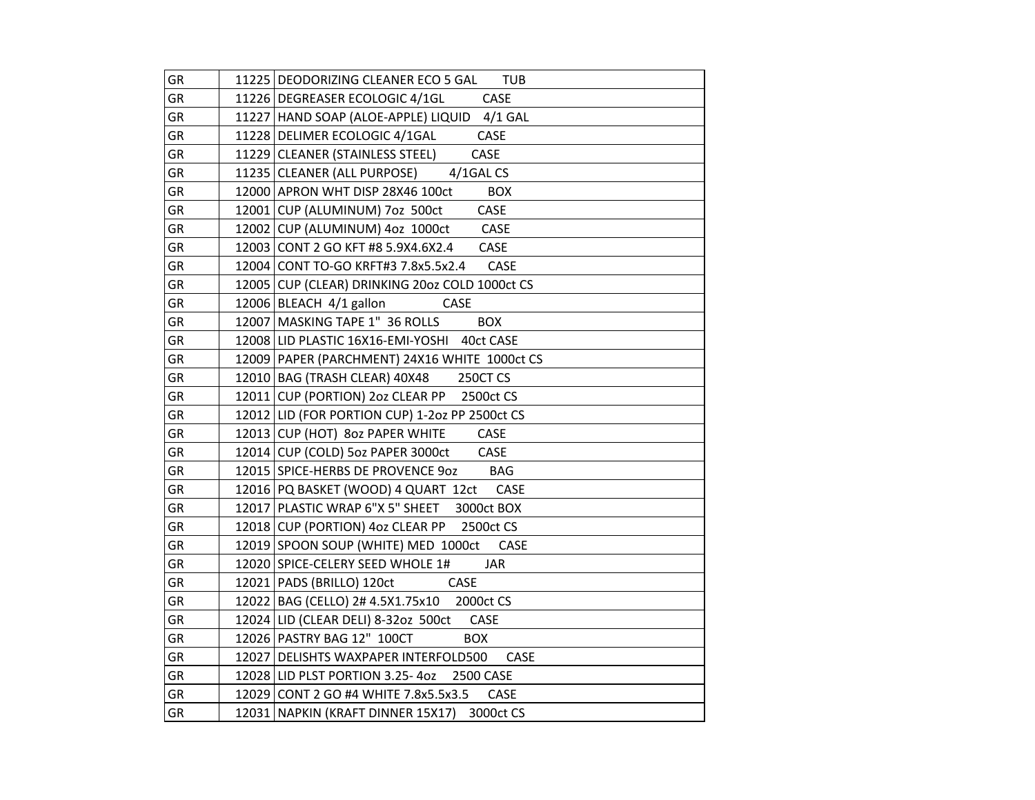| GR | 11225 DEODORIZING CLEANER ECO 5 GAL TUB        |
|----|------------------------------------------------|
| GR | 11226 DEGREASER ECOLOGIC 4/1GL<br><b>CASE</b>  |
| GR | 11227 HAND SOAP (ALOE-APPLE) LIQUID 4/1 GAL    |
| GR | 11228 DELIMER ECOLOGIC 4/1GAL<br>CASE          |
| GR | CASE<br>11229 CLEANER (STAINLESS STEEL)        |
| GR | 11235 CLEANER (ALL PURPOSE) 4/1GAL CS          |
| GR | 12000 APRON WHT DISP 28X46 100ct<br><b>BOX</b> |
| GR | CASE<br>12001 CUP (ALUMINUM) 7oz 500ct         |
| GR | 12002 CUP (ALUMINUM) 4oz 1000ct CASE           |
| GR | 12003 CONT 2 GO KFT #8 5.9X4.6X2.4 CASE        |
| GR | 12004 CONT TO-GO KRFT#3 7.8x5.5x2.4 CASE       |
| GR | 12005 CUP (CLEAR) DRINKING 2002 COLD 1000ct CS |
| GR | 12006 BLEACH 4/1 gallon CASE                   |
| GR | 12007 MASKING TAPE 1" 36 ROLLS<br><b>BOX</b>   |
| GR | 12008 LID PLASTIC 16X16-EMI-YOSHI 40ct CASE    |
| GR | 12009 PAPER (PARCHMENT) 24X16 WHITE 1000ct CS  |
| GR | 12010 BAG (TRASH CLEAR) 40X48 250CT CS         |
| GR | 12011 CUP (PORTION) 2oz CLEAR PP 2500ct CS     |
| GR | 12012 LID (FOR PORTION CUP) 1-202 PP 2500ct CS |
| GR | 12013 CUP (HOT) 80z PAPER WHITE CASE           |
| GR | 12014 CUP (COLD) 5oz PAPER 3000ct CASE         |
| GR | 12015 SPICE-HERBS DE PROVENCE 90Z BAG          |
| GR | 12016 PQ BASKET (WOOD) 4 QUART 12ct CASE       |
| GR | 12017 PLASTIC WRAP 6"X 5" SHEET 3000ct BOX     |
| GR | 12018 CUP (PORTION) 4oz CLEAR PP 2500ct CS     |
| GR | 12019 SPOON SOUP (WHITE) MED 1000ct CASE       |
| GR | 12020 SPICE-CELERY SEED WHOLE 1#<br>JAR        |
| GR | 12021   PADS (BRILLO) 120ct CASE               |
| GR | 12022 BAG (CELLO) 2# 4.5X1.75x10 2000ct CS     |
| GR | 12024 LID (CLEAR DELI) 8-32oz 500ct CASE       |
| GR | 12026 PASTRY BAG 12" 100CT<br><b>BOX</b>       |
| GR | 12027 DELISHTS WAXPAPER INTERFOLD500 CASE      |
| GR | 12028 LID PLST PORTION 3.25-40Z 2500 CASE      |
| GR | 12029 CONT 2 GO #4 WHITE 7.8x5.5x3.5<br>CASE   |
| GR | 12031 NAPKIN (KRAFT DINNER 15X17) 3000ct CS    |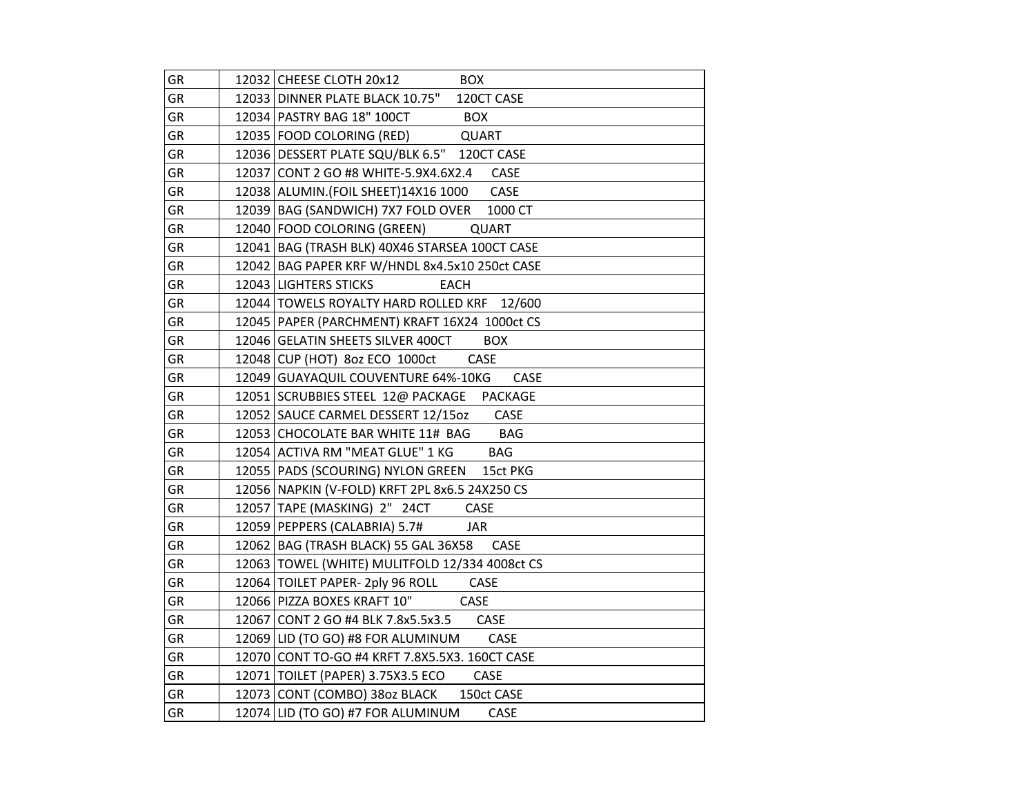| GR        | 12032 CHEESE CLOTH 20x12<br><b>BOX</b>             |
|-----------|----------------------------------------------------|
| GR        | 12033 DINNER PLATE BLACK 10.75"<br>120CT CASE      |
| <b>GR</b> | 12034 PASTRY BAG 18" 100CT<br><b>BOX</b>           |
| GR        | 12035 FOOD COLORING (RED)<br>QUART                 |
| GR        | 12036   DESSERT PLATE SQU/BLK 6.5" 120CT CASE      |
| GR        | 12037 CONT 2 GO #8 WHITE-5.9X4.6X2.4<br>CASE       |
| GR        | 12038   ALUMIN. (FOIL SHEET) 14X16 1000<br>CASE    |
| <b>GR</b> | 12039 BAG (SANDWICH) 7X7 FOLD OVER 1000 CT         |
| GR        | 12040 FOOD COLORING (GREEN)<br><b>QUART</b>        |
| GR        | 12041 BAG (TRASH BLK) 40X46 STARSEA 100CT CASE     |
| GR        | 12042   BAG PAPER KRF W/HNDL 8x4.5x10 250ct CASE   |
| GR        | 12043 LIGHTERS STICKS<br><b>EACH</b>               |
| GR        | 12044   TOWELS ROYALTY HARD ROLLED KRF 12/600      |
| GR        | 12045   PAPER (PARCHMENT) KRAFT 16X24 1000ct CS    |
| GR        | 12046 GELATIN SHEETS SILVER 400CT<br><b>BOX</b>    |
| <b>GR</b> | 12048 CUP (HOT) 80z ECO 1000ct<br>CASE             |
| GR        | 12049 GUAYAQUIL COUVENTURE 64%-10KG<br><b>CASE</b> |
| <b>GR</b> | 12051 SCRUBBIES STEEL 12@ PACKAGE PACKAGE          |
| <b>GR</b> | 12052 SAUCE CARMEL DESSERT 12/15oz<br>CASE         |
| GR        | 12053 CHOCOLATE BAR WHITE 11# BAG<br><b>BAG</b>    |
| GR        | 12054 ACTIVA RM "MEAT GLUE" 1 KG<br><b>BAG</b>     |
| GR        | 12055   PADS (SCOURING) NYLON GREEN 15ct PKG       |
| GR        | 12056 NAPKIN (V-FOLD) KRFT 2PL 8x6.5 24X250 CS     |
| GR        | 12057 TAPE (MASKING) 2" 24CT<br>CASE               |
| GR        | 12059   PEPPERS (CALABRIA) 5.7#<br><b>JAR</b>      |
| GR        | 12062 BAG (TRASH BLACK) 55 GAL 36X58 CASE          |
| GR        | 12063 TOWEL (WHITE) MULITFOLD 12/334 4008ct CS     |
| GR        | 12064 TOILET PAPER- 2ply 96 ROLL<br>CASE           |
| GR        | 12066 PIZZA BOXES KRAFT 10"<br>CASE                |
| GR        | 12067 CONT 2 GO #4 BLK 7.8x5.5x3.5 CASE            |
| GR        | 12069 LID (TO GO) #8 FOR ALUMINUM<br>CASE          |
| GR        | 12070 CONT TO-GO #4 KRFT 7.8X5.5X3. 160CT CASE     |
| GR        | 12071   TOILET (PAPER) 3.75X3.5 ECO<br>CASE        |
| GR        | 12073 CONT (COMBO) 380z BLACK 150ct CASE           |
| GR        | 12074 LID (TO GO) #7 FOR ALUMINUM<br>CASE          |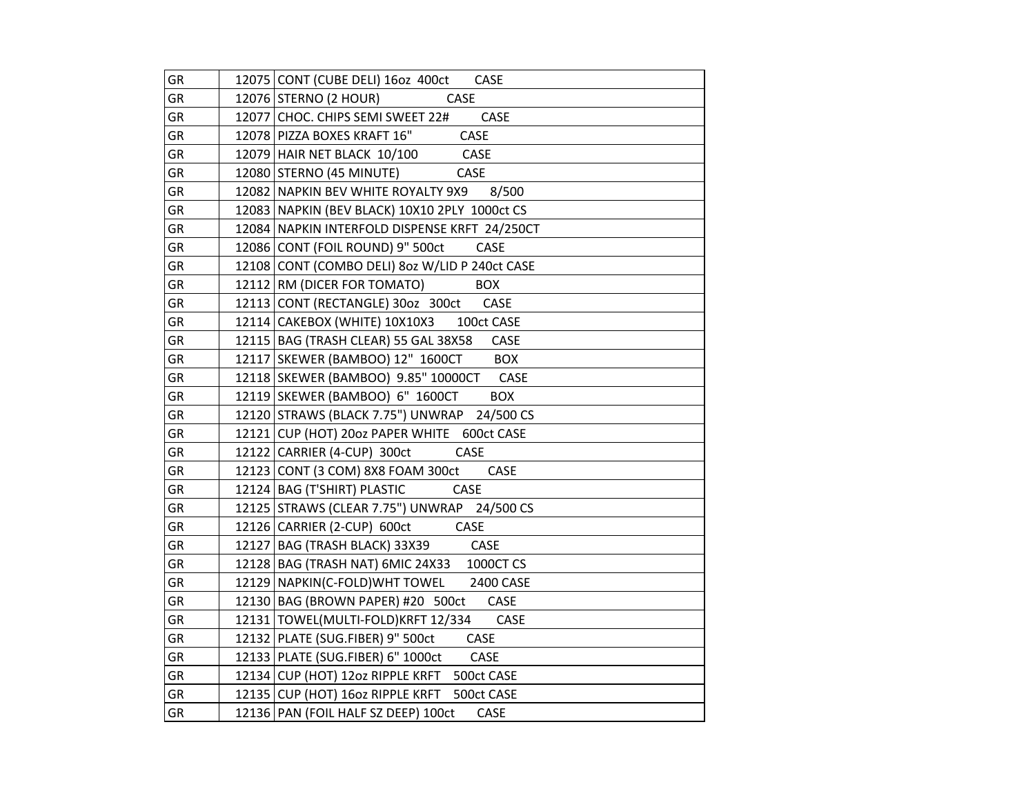| GR        | 12075 CONT (CUBE DELI) 160z 400ct CASE           |
|-----------|--------------------------------------------------|
| <b>GR</b> | 12076 STERNO (2 HOUR)<br>CASE                    |
| GR        | 12077 CHOC. CHIPS SEMI SWEET 22#<br>CASE         |
| GR        | CASE<br>12078 PIZZA BOXES KRAFT 16"              |
| GR        | 12079 HAIR NET BLACK 10/100 CASE                 |
| GR        | 12080 STERNO (45 MINUTE)<br><b>CASE</b>          |
| GR        | 12082 NAPKIN BEV WHITE ROYALTY 9X9 8/500         |
| GR        | 12083 NAPKIN (BEV BLACK) 10X10 2PLY 1000ct CS    |
| GR        | 12084 NAPKIN INTERFOLD DISPENSE KRFT 24/250CT    |
| GR        | 12086 CONT (FOIL ROUND) 9" 500ct<br>CASE         |
| <b>GR</b> | 12108 CONT (COMBO DELI) 80z W/LID P 240ct CASE   |
| GR        | 12112 RM (DICER FOR TOMATO)<br><b>BOX</b>        |
| GR        | 12113 CONT (RECTANGLE) 30oz 300ct<br>CASE        |
| GR        | 12114 CAKEBOX (WHITE) 10X10X3 100ct CASE         |
| GR        | 12115 BAG (TRASH CLEAR) 55 GAL 38X58<br>CASE     |
| GR        | 12117 SKEWER (BAMBOO) 12" 1600CT BOX             |
| GR        | 12118 SKEWER (BAMBOO) 9.85" 10000CT CASE         |
| GR        | 12119 SKEWER (BAMBOO) 6" 1600CT<br><b>BOX</b>    |
| GR        | 12120 STRAWS (BLACK 7.75") UNWRAP 24/500 CS      |
| GR        | 12121 CUP (HOT) 200z PAPER WHITE 600ct CASE      |
| GR        | 12122 CARRIER (4-CUP) 300ct<br>CASE              |
| GR        | 12123 CONT (3 COM) 8X8 FOAM 300ct<br>CASE        |
| GR        | 12124   BAG (T'SHIRT) PLASTIC<br>CASE            |
| GR        | 12125 STRAWS (CLEAR 7.75") UNWRAP 24/500 CS      |
| GR        | 12126 CARRIER (2-CUP) 600ct<br>CASE              |
| GR        | 12127 BAG (TRASH BLACK) 33X39<br>CASE            |
| GR        | 12128 BAG (TRASH NAT) 6MIC 24X33<br>1000CT CS    |
| GR        | 12129 NAPKIN(C-FOLD) WHT TOWEL 2400 CASE         |
| GR        | 12130 BAG (BROWN PAPER) #20 500ct CASE           |
| GR        | 12131   TOWEL(MULTI-FOLD)KRFT 12/334 CASE        |
| GR        | 12132 PLATE (SUG.FIBER) 9" 500ct<br>CASE         |
| GR        | 12133 PLATE (SUG.FIBER) 6" 1000ct<br><b>CASE</b> |
| GR        | 12134 CUP (HOT) 12oz RIPPLE KRFT 500ct CASE      |
| GR        | 12135 CUP (HOT) 160z RIPPLE KRFT 500ct CASE      |
| GR        | 12136 PAN (FOIL HALF SZ DEEP) 100ct<br>CASE      |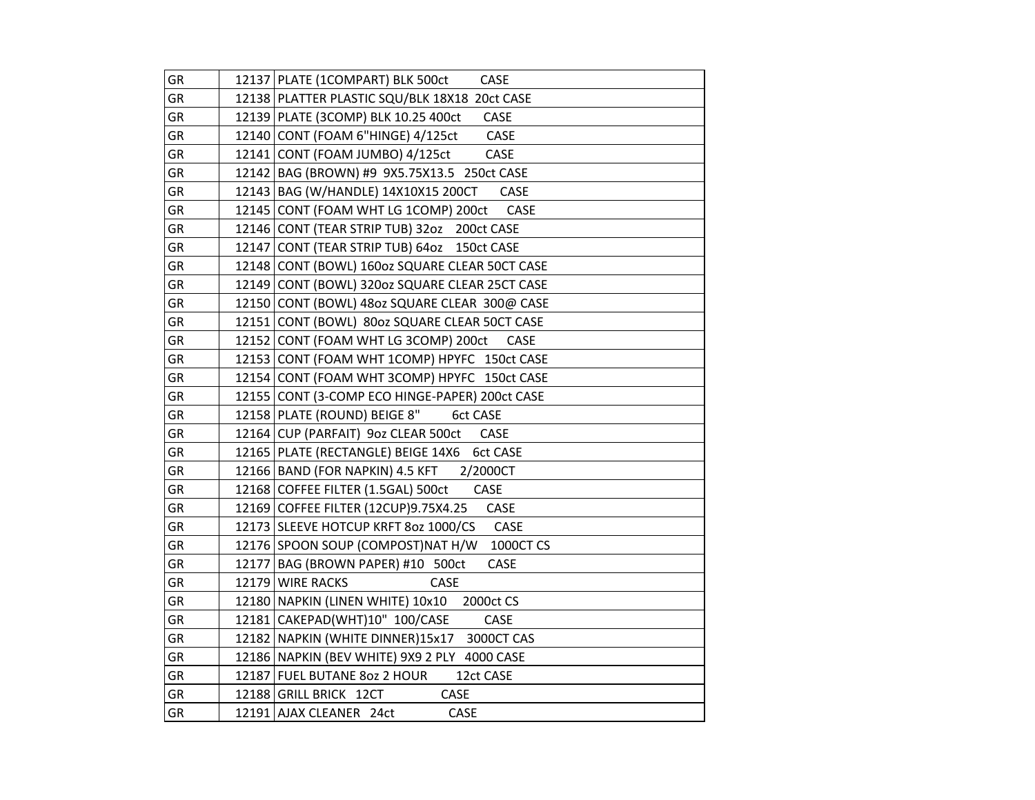| GR        | 12137 PLATE (1COMPART) BLK 500ct<br><b>CASE</b>     |
|-----------|-----------------------------------------------------|
| GR        | 12138 PLATTER PLASTIC SQU/BLK 18X18 20ct CASE       |
| <b>GR</b> | 12139 PLATE (3COMP) BLK 10.25 400ct<br><b>CASE</b>  |
| GR        | 12140 CONT (FOAM 6"HINGE) 4/125ct<br>CASE           |
| GR        | 12141 CONT (FOAM JUMBO) 4/125ct<br>CASE             |
| GR        | 12142 BAG (BROWN) #9 9X5.75X13.5 250ct CASE         |
| GR        | 12143 BAG (W/HANDLE) 14X10X15 200CT<br><b>CASE</b>  |
| GR        | 12145 CONT (FOAM WHT LG 1COMP) 200ct<br>CASE        |
| GR        | 12146 CONT (TEAR STRIP TUB) 32oz 200ct CASE         |
| GR        | 12147 CONT (TEAR STRIP TUB) 64oz 150ct CASE         |
| GR        | 12148 CONT (BOWL) 160oz SQUARE CLEAR 50CT CASE      |
| GR        | 12149 CONT (BOWL) 320oz SQUARE CLEAR 25CT CASE      |
| GR        | 12150 CONT (BOWL) 48oz SQUARE CLEAR 300@ CASE       |
| GR        | 12151 CONT (BOWL) 80oz SQUARE CLEAR 50CT CASE       |
| GR        | 12152 CONT (FOAM WHT LG 3COMP) 200ct<br><b>CASE</b> |
| GR        | 12153 CONT (FOAM WHT 1COMP) HPYFC 150ct CASE        |
| GR        | 12154 CONT (FOAM WHT 3COMP) HPYFC 150ct CASE        |
| GR        | 12155 CONT (3-COMP ECO HINGE-PAPER) 200ct CASE      |
| GR        | 12158 PLATE (ROUND) BEIGE 8" 6ct CASE               |
| GR        | 12164 CUP (PARFAIT) 9oz CLEAR 500ct CASE            |
| GR        | 12165 PLATE (RECTANGLE) BEIGE 14X6 6ct CASE         |
| GR        | 12166 BAND (FOR NAPKIN) 4.5 KFT 2/2000CT            |
| GR        | CASE<br>12168 COFFEE FILTER (1.5GAL) 500ct          |
| GR        | 12169 COFFEE FILTER (12CUP)9.75X4.25<br>CASE        |
| GR        | 12173 SLEEVE HOTCUP KRFT 8oz 1000/CS<br>CASE        |
| GR        | 12176 SPOON SOUP (COMPOST) NAT H/W<br>1000CT CS     |
| GR        | 12177   BAG (BROWN PAPER) #10 500ct<br>CASE         |
| GR        | 12179 WIRE RACKS<br>CASE                            |
| GR        | 12180 NAPKIN (LINEN WHITE) 10x10 2000ct CS          |
| GR        | 12181 CAKEPAD(WHT)10" 100/CASE<br>CASE              |
| GR        | 12182 NAPKIN (WHITE DINNER)15x17 3000CT CAS         |
| GR        | 12186 NAPKIN (BEV WHITE) 9X9 2 PLY 4000 CASE        |
| GR        | 12187 FUEL BUTANE 8oz 2 HOUR<br>12ct CASE           |
| GR        | CASE<br>12188 GRILL BRICK 12CT                      |
| GR        | 12191 AJAX CLEANER 24ct<br>CASE                     |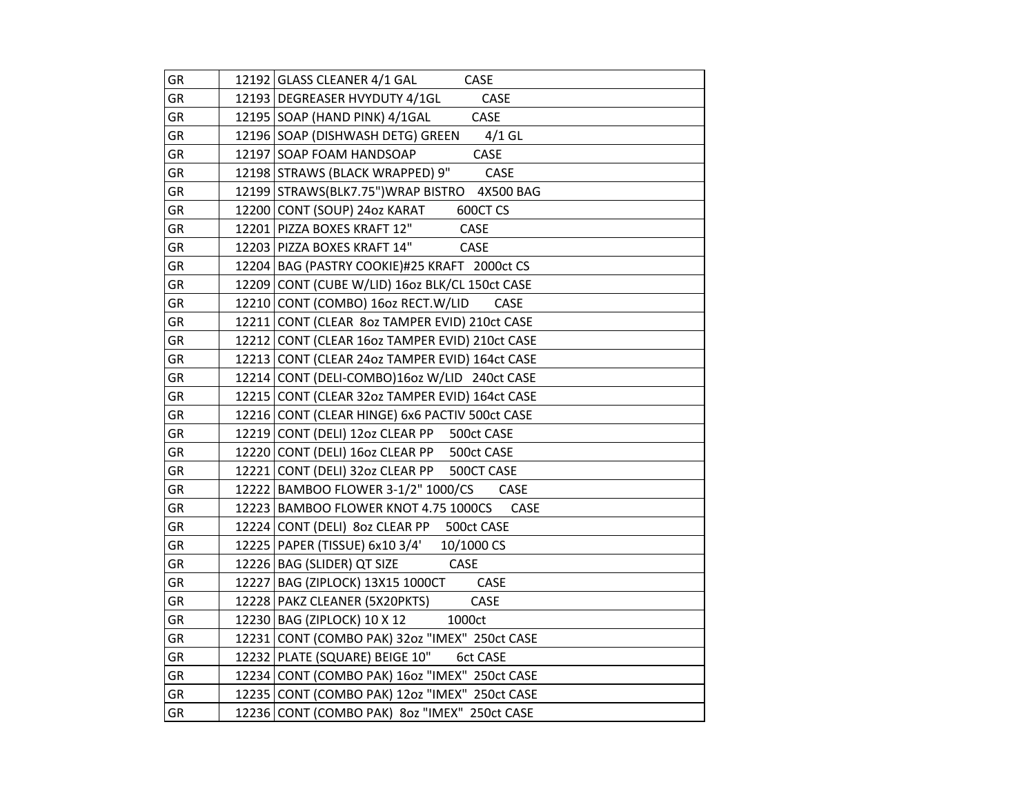| GR        | 12192 GLASS CLEANER 4/1 GAL<br>CASE                 |
|-----------|-----------------------------------------------------|
| GR        | 12193 DEGREASER HVYDUTY 4/1GL<br>CASE               |
| <b>GR</b> | 12195 SOAP (HAND PINK) 4/1GAL<br><b>CASE</b>        |
| <b>GR</b> | 12196 SOAP (DISHWASH DETG) GREEN 4/1 GL             |
| GR        | CASE<br>12197 SOAP FOAM HANDSOAP                    |
| GR        | 12198 STRAWS (BLACK WRAPPED) 9"<br><b>CASE</b>      |
| GR        | 12199 STRAWS (BLK7.75") WRAP BISTRO 4X500 BAG       |
| GR        | 12200 CONT (SOUP) 24oz KARAT<br>600CT CS            |
| GR        | CASE<br>12201 PIZZA BOXES KRAFT 12"                 |
| GR        | 12203 PIZZA BOXES KRAFT 14"<br>CASE                 |
| GR        | 12204 BAG (PASTRY COOKIE)#25 KRAFT 2000ct CS        |
| GR        | 12209 CONT (CUBE W/LID) 16oz BLK/CL 150ct CASE      |
| GR        | 12210 CONT (COMBO) 16oz RECT.W/LID<br>CASE          |
| GR        | 12211 CONT (CLEAR 80z TAMPER EVID) 210ct CASE       |
| GR        | 12212 CONT (CLEAR 16oz TAMPER EVID) 210ct CASE      |
| GR        | 12213 CONT (CLEAR 24oz TAMPER EVID) 164ct CASE      |
| GR        | 12214 CONT (DELI-COMBO)16oz W/LID 240ct CASE        |
| GR        | 12215 CONT (CLEAR 32oz TAMPER EVID) 164ct CASE      |
| GR        | 12216 CONT (CLEAR HINGE) 6x6 PACTIV 500ct CASE      |
| GR        | 12219 CONT (DELI) 12oz CLEAR PP 500ct CASE          |
| GR        | 12220 CONT (DELI) 160z CLEAR PP 500ct CASE          |
| GR        | 12221 CONT (DELI) 32oz CLEAR PP 500CT CASE          |
| GR        | 12222   BAMBOO FLOWER 3-1/2" 1000/CS<br><b>CASE</b> |
| GR        | 12223 BAMBOO FLOWER KNOT 4.75 1000CS<br><b>CASE</b> |
| GR        | 12224 CONT (DELI) 80z CLEAR PP 500ct CASE           |
| GR        | 12225 PAPER (TISSUE) 6x10 3/4' 10/1000 CS           |
| GR        | 12226 BAG (SLIDER) QT SIZE<br>CASE                  |
| GR        | 12227 BAG (ZIPLOCK) 13X15 1000CT<br>CASE            |
| GR        | 12228 PAKZ CLEANER (5X20PKTS)<br>CASE               |
| GR        | 12230 BAG (ZIPLOCK) 10 X 12<br>1000ct               |
| GR        | 12231 CONT (COMBO PAK) 32oz "IMEX" 250ct CASE       |
| <b>GR</b> | 12232 PLATE (SQUARE) BEIGE 10"<br><b>6ct CASE</b>   |
| GR        | 12234 CONT (COMBO PAK) 160z "IMEX" 250ct CASE       |
| GR        | 12235 CONT (COMBO PAK) 12oz "IMEX" 250ct CASE       |
| GR        | 12236 CONT (COMBO PAK) 8oz "IMEX" 250ct CASE        |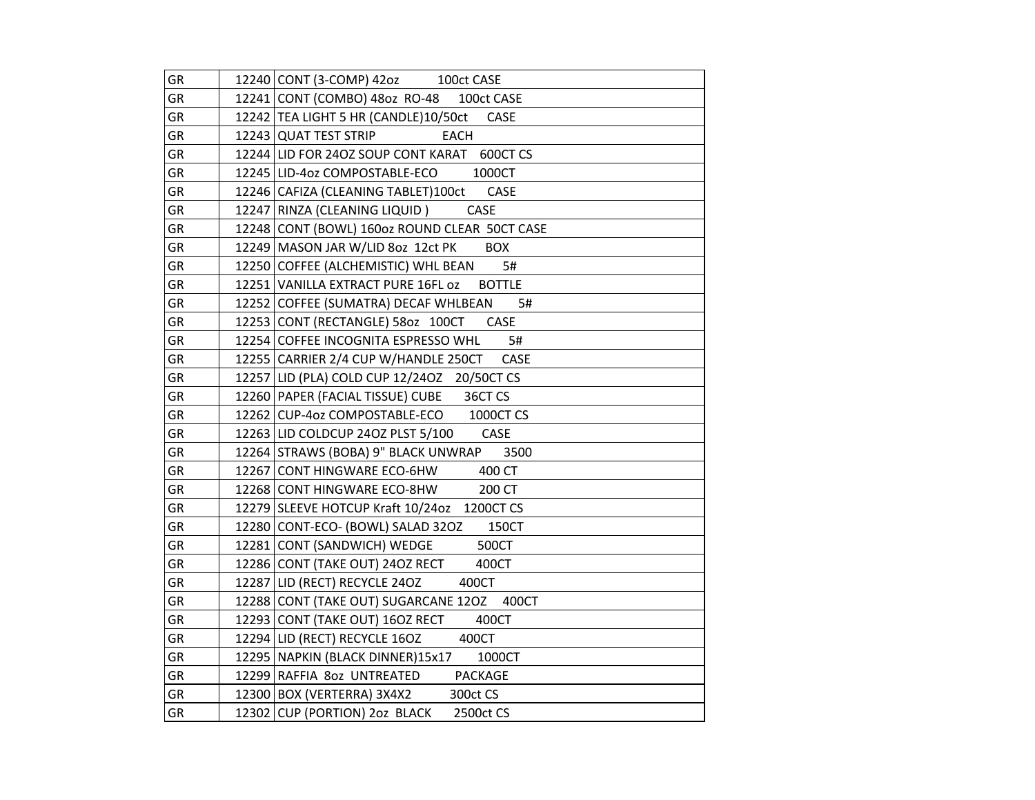| GR         | 12240 CONT (3-COMP) 42oz 100ct CASE                 |
|------------|-----------------------------------------------------|
| <b>GR</b>  | 12241 CONT (COMBO) 480z RO-48 100ct CASE            |
| GR         | 12242 TEA LIGHT 5 HR (CANDLE)10/50ct CASE           |
| GR         | 12243 QUAT TEST STRIP<br>EACH                       |
| GR         | 12244 LID FOR 24OZ SOUP CONT KARAT 600CT CS         |
| GR         | 12245   LID-4oz COMPOSTABLE-ECO 1000CT              |
| GR         | 12246 CAFIZA (CLEANING TABLET)100ct CASE            |
| GR         | <b>CASE</b><br>12247 RINZA (CLEANING LIQUID)        |
| GR         | 12248 CONT (BOWL) 160oz ROUND CLEAR 50CT CASE       |
| GR         | 12249   MASON JAR W/LID 8oz 12ct PK<br><b>BOX</b>   |
| GR         | 12250 COFFEE (ALCHEMISTIC) WHL BEAN<br>5#           |
| GR         | 12251 VANILLA EXTRACT PURE 16FL 0Z<br><b>BOTTLE</b> |
| GR         | 12252 COFFEE (SUMATRA) DECAF WHLBEAN<br>5#          |
| GR         | 12253 CONT (RECTANGLE) 580z 100CT CASE              |
| GR         | 12254 COFFEE INCOGNITA ESPRESSO WHL 5#              |
| GR         | 12255 CARRIER 2/4 CUP W/HANDLE 250CT<br>CASE        |
| GR         | 12257 LID (PLA) COLD CUP 12/240Z 20/50CT CS         |
| GR         | 12260 PAPER (FACIAL TISSUE) CUBE 36CT CS            |
| GR         | 12262 CUP-4oz COMPOSTABLE-ECO 1000CT CS             |
| ${\sf GR}$ | 12263 LID COLDCUP 240Z PLST 5/100 CASE              |
| GR         | 12264 STRAWS (BOBA) 9" BLACK UNWRAP<br>3500         |
| GR         | 12267 CONT HINGWARE ECO-6HW 400 CT                  |
| GR         | 12268 CONT HINGWARE ECO-8HW 200 CT                  |
| GR         | 12279 SLEEVE HOTCUP Kraft 10/24oz 1200CT CS         |
| GR         | 12280 CONT-ECO- (BOWL) SALAD 32OZ<br>150CT          |
| GR         | 12281 CONT (SANDWICH) WEDGE<br>500CT                |
| GR         | 12286 CONT (TAKE OUT) 240Z RECT<br>400CT            |
| GR         | 12287 LID (RECT) RECYCLE 240Z<br>400CT              |
| GR         | 12288 CONT (TAKE OUT) SUGARCANE 120Z 400CT          |
| GR         | 12293 CONT (TAKE OUT) 16OZ RECT<br>400CT            |
| GR         | 12294 LID (RECT) RECYCLE 16OZ 400CT                 |
| GR         | 12295 NAPKIN (BLACK DINNER)15x17<br>1000CT          |
| GR         | 12299 RAFFIA 80z UNTREATED PACKAGE                  |
| GR         | 12300 BOX (VERTERRA) 3X4X2 300ct CS                 |
| GR         | 12302 CUP (PORTION) 2oz BLACK<br>2500ct CS          |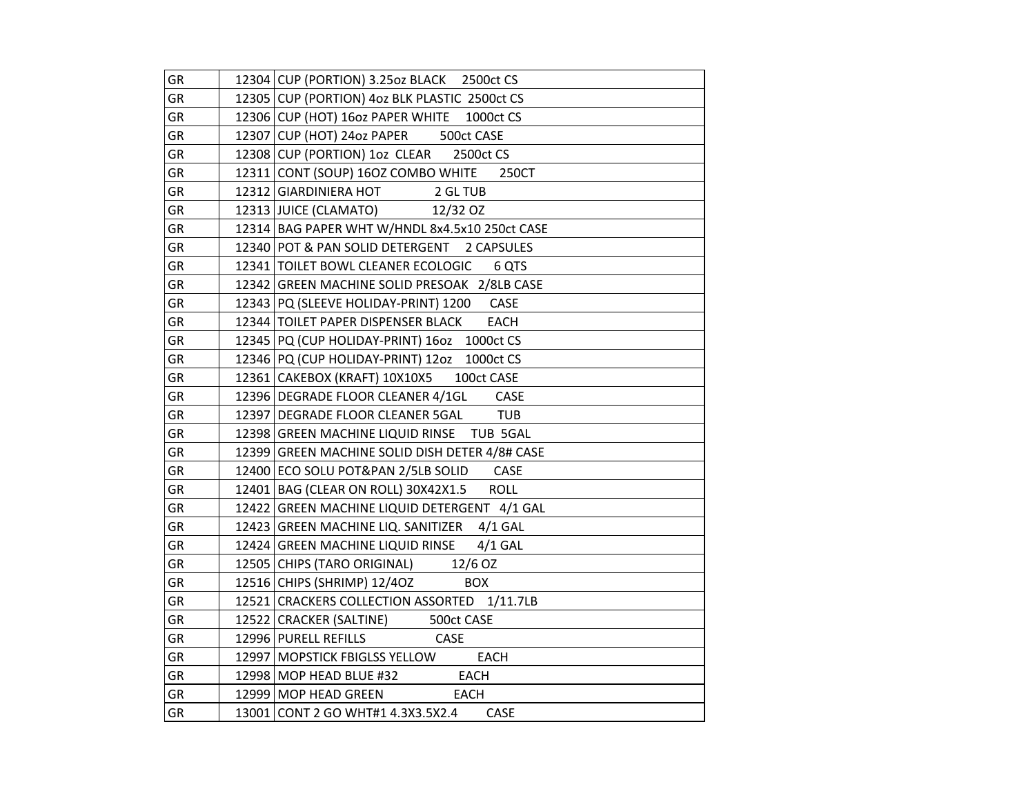| GR | 12304 CUP (PORTION) 3.25oz BLACK 2500ct CS           |
|----|------------------------------------------------------|
| GR | 12305 CUP (PORTION) 4oz BLK PLASTIC 2500ct CS        |
| GR | 12306 CUP (HOT) 16oz PAPER WHITE 1000ct CS           |
| GR | 12307 CUP (HOT) 240z PAPER 500ct CASE                |
| GR | 12308 CUP (PORTION) 1oz CLEAR 2500ct CS              |
| GR | 12311 CONT (SOUP) 160Z COMBO WHITE 250CT             |
| GR | 12312 GIARDINIERA HOT 2 GL TUB                       |
| GR | 12313 JUICE (CLAMATO) 12/32 OZ                       |
| GR | 12314 BAG PAPER WHT W/HNDL 8x4.5x10 250ct CASE       |
| GR | 12340 POT & PAN SOLID DETERGENT 2 CAPSULES           |
| GR | 12341 TOILET BOWL CLEANER ECOLOGIC<br>6 QTS          |
| GR | 12342 GREEN MACHINE SOLID PRESOAK 2/8LB CASE         |
| GR | 12343 PQ (SLEEVE HOLIDAY-PRINT) 1200 CASE            |
| GR | 12344 TOILET PAPER DISPENSER BLACK<br><b>EACH</b>    |
| GR | 12345 PQ (CUP HOLIDAY-PRINT) 160z 1000ct CS          |
| GR | 12346 PQ (CUP HOLIDAY-PRINT) 12oz 1000ct CS          |
| GR | 100ct CASE<br>12361 CAKEBOX (KRAFT) 10X10X5          |
| GR | 12396 DEGRADE FLOOR CLEANER 4/1GL CASE               |
| GR | 12397 DEGRADE FLOOR CLEANER 5GAL TUB                 |
| GR | 12398 GREEN MACHINE LIQUID RINSE TUB 5GAL            |
| GR | 12399 GREEN MACHINE SOLID DISH DETER 4/8# CASE       |
| GR | 12400 ECO SOLU POT&PAN 2/5LB SOLID CASE              |
| GR | <b>ROLL</b><br>12401   BAG (CLEAR ON ROLL) 30X42X1.5 |
| GR | 12422 GREEN MACHINE LIQUID DETERGENT 4/1 GAL         |
| GR | 12423 GREEN MACHINE LIQ. SANITIZER 4/1 GAL           |
| GR | 12424 GREEN MACHINE LIQUID RINSE 4/1 GAL             |
| GR | 12505 CHIPS (TARO ORIGINAL) 12/6 OZ                  |
| GR | 12516 CHIPS (SHRIMP) 12/40Z<br><b>BOX</b>            |
| GR | 12521 CRACKERS COLLECTION ASSORTED 1/11.7LB          |
| GR | 12522 CRACKER (SALTINE) 500ct CASE                   |
| GR | CASE<br>12996 PURELL REFILLS                         |
| GR | 12997   MOPSTICK FBIGLSS YELLOW<br>EACH              |
| GR | 12998   MOP HEAD BLUE #32 EACH                       |
| GR | 12999 MOP HEAD GREEN<br>EACH                         |
| GR | 13001 CONT 2 GO WHT#1 4.3X3.5X2.4<br>CASE            |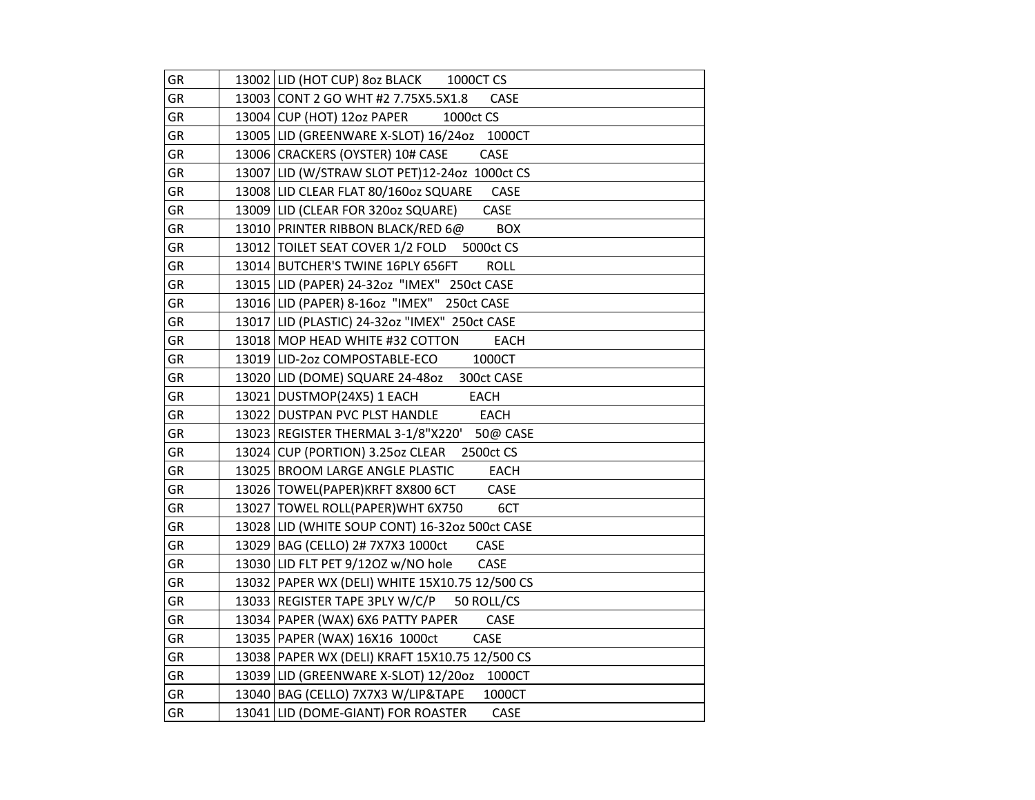| GR        | 13002 LID (HOT CUP) 80z BLACK 1000CT CS          |
|-----------|--------------------------------------------------|
| GR        | 13003 CONT 2 GO WHT #2 7.75X5.5X1.8<br>CASE      |
| <b>GR</b> | 13004 CUP (HOT) 12oz PAPER<br>1000ct CS          |
| GR        | 13005 LID (GREENWARE X-SLOT) 16/24oz 1000CT      |
| GR        | 13006 CRACKERS (OYSTER) 10# CASE<br>CASE         |
| GR        | 13007 LID (W/STRAW SLOT PET)12-240z 1000ct CS    |
| GR        | 13008 LID CLEAR FLAT 80/160oz SQUARE<br>CASE     |
| GR        | CASE<br>13009 LID (CLEAR FOR 320oz SQUARE)       |
| GR        | 13010 PRINTER RIBBON BLACK/RED 6@<br><b>BOX</b>  |
| GR        | 13012   TOILET SEAT COVER 1/2 FOLD 5000ct CS     |
| GR        | 13014 BUTCHER'S TWINE 16PLY 656FT<br><b>ROLL</b> |
| GR        | 13015 LID (PAPER) 24-32oz "IMEX" 250ct CASE      |
| GR        | 13016 LID (PAPER) 8-16oz "IMEX" 250ct CASE       |
| GR        | 13017 LID (PLASTIC) 24-32oz "IMEX" 250ct CASE    |
| GR        | 13018 MOP HEAD WHITE #32 COTTON<br><b>EACH</b>   |
| <b>GR</b> | 13019 LID-2oz COMPOSTABLE-ECO<br>1000CT          |
| GR        | 13020 LID (DOME) SQUARE 24-480Z 300ct CASE       |
| GR        | 13021 DUSTMOP(24X5) 1 EACH<br>EACH               |
| GR        | <b>EACH</b><br>13022 DUSTPAN PVC PLST HANDLE     |
| GR        | 13023 REGISTER THERMAL 3-1/8"X220' 50@ CASE      |
| GR        | 13024 CUP (PORTION) 3.250z CLEAR 2500ct CS       |
| GR        | 13025 BROOM LARGE ANGLE PLASTIC<br><b>EACH</b>   |
| <b>GR</b> | 13026   TOWEL(PAPER)KRFT 8X800 6CT<br>CASE       |
| GR        | 13027 TOWEL ROLL(PAPER)WHT 6X750<br>6CT          |
| GR        | 13028 LID (WHITE SOUP CONT) 16-320z 500ct CASE   |
| GR        | 13029 BAG (CELLO) 2# 7X7X3 1000ct<br>CASE        |
| GR        | 13030 LID FLT PET 9/120Z w/NO hole<br>CASE       |
| GR        | 13032   PAPER WX (DELI) WHITE 15X10.75 12/500 CS |
| GR        | 13033 REGISTER TAPE 3PLY W/C/P 50 ROLL/CS        |
| GR        | 13034 PAPER (WAX) 6X6 PATTY PAPER<br>CASE        |
| GR        | 13035   PAPER (WAX) 16X16 1000ct<br>CASE         |
| GR        | 13038 PAPER WX (DELI) KRAFT 15X10.75 12/500 CS   |
| GR        | 13039 LID (GREENWARE X-SLOT) 12/200z 1000CT      |
| GR        | 13040 BAG (CELLO) 7X7X3 W/LIP&TAPE<br>1000CT     |
| GR        | 13041 LID (DOME-GIANT) FOR ROASTER<br>CASE       |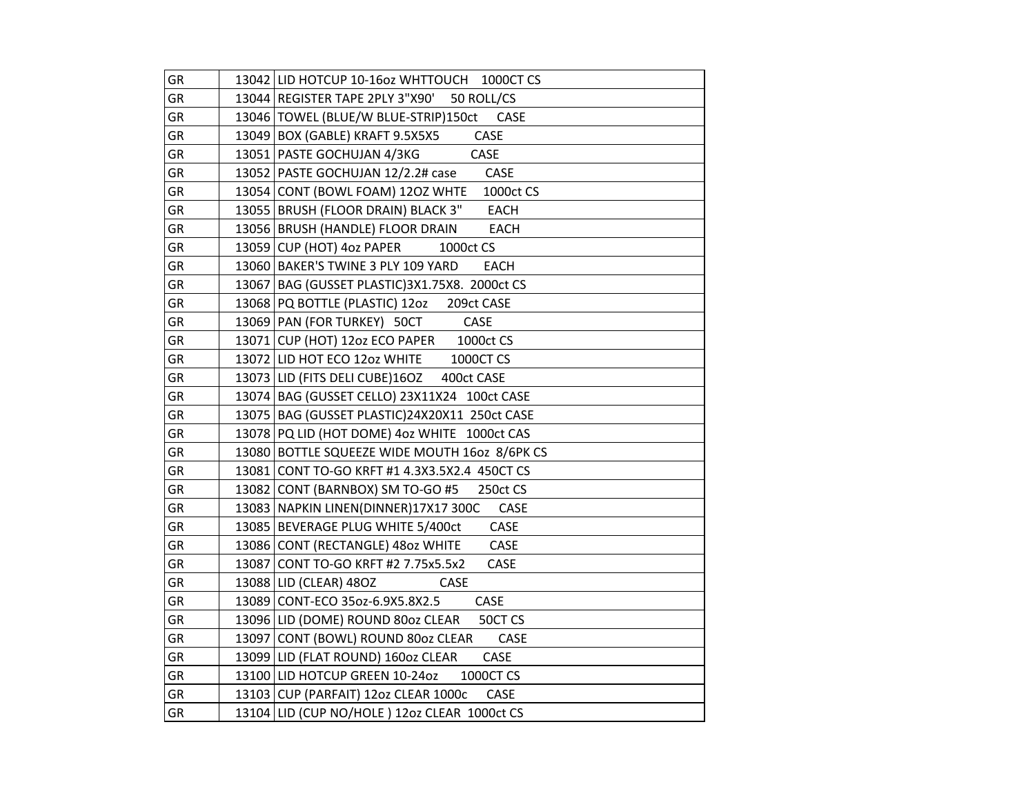| GR        | 13042 LID HOTCUP 10-16oz WHTTOUCH 1000CT CS         |
|-----------|-----------------------------------------------------|
| GR        | 13044 REGISTER TAPE 2PLY 3"X90' 50 ROLL/CS          |
| <b>GR</b> | 13046 TOWEL (BLUE/W BLUE-STRIP)150ct<br><b>CASE</b> |
| GR        | 13049 BOX (GABLE) KRAFT 9.5X5X5<br>CASE             |
| GR        | CASE<br>13051   PASTE GOCHUJAN 4/3KG                |
| GR        | CASE<br>13052   PASTE GOCHUJAN 12/2.2# case         |
| GR        | 13054 CONT (BOWL FOAM) 12OZ WHTE<br>1000ct CS       |
| GR        | 13055   BRUSH (FLOOR DRAIN) BLACK 3"<br><b>EACH</b> |
| GR        | 13056 BRUSH (HANDLE) FLOOR DRAIN<br><b>EACH</b>     |
| GR        | 13059 CUP (HOT) 4oz PAPER<br>1000ct CS              |
| GR        | 13060 BAKER'S TWINE 3 PLY 109 YARD<br><b>EACH</b>   |
| GR        | 13067   BAG (GUSSET PLASTIC) 3X1.75X8. 2000ct CS    |
| GR        | 13068 PQ BOTTLE (PLASTIC) 12oz<br>209ct CASE        |
| GR        | 13069 PAN (FOR TURKEY) 50CT<br>CASE                 |
| GR        | 13071 CUP (HOT) 12oz ECO PAPER 1000ct CS            |
| GR        | 13072 LID HOT ECO 12oz WHITE<br>1000CT CS           |
| GR        | 13073 LID (FITS DELI CUBE)160Z 400ct CASE           |
| GR        | 13074 BAG (GUSSET CELLO) 23X11X24 100ct CASE        |
| GR        | 13075   BAG (GUSSET PLASTIC) 24X20X11 250ct CASE    |
| GR        | 13078 PQ LID (HOT DOME) 4oz WHITE 1000ct CAS        |
| GR        | 13080 BOTTLE SQUEEZE WIDE MOUTH 1602 8/6PK CS       |
| GR        | 13081 CONT TO-GO KRFT #1 4.3X3.5X2.4 450CT CS       |
| GR        | 13082 CONT (BARNBOX) SM TO-GO #5<br>250ct CS        |
| GR        | 13083 NAPKIN LINEN(DINNER) 17X17 300C<br>CASE       |
| GR        | 13085 BEVERAGE PLUG WHITE 5/400ct<br>CASE           |
| GR        | CASE<br>13086 CONT (RECTANGLE) 4802 WHITE           |
| GR        | 13087 CONT TO-GO KRFT #2 7.75x5.5x2<br>CASE         |
| GR        | 13088 LID (CLEAR) 480Z<br><b>CASE</b>               |
| GR        | 13089 CONT-ECO 35oz-6.9X5.8X2.5<br>CASE             |
| GR        | 13096 LID (DOME) ROUND 80oz CLEAR<br>50CT CS        |
| GR        | 13097 CONT (BOWL) ROUND 80oz CLEAR<br>CASE          |
| GR        | 13099 LID (FLAT ROUND) 160oz CLEAR<br>CASE          |
| GR        | 13100 LID HOTCUP GREEN 10-24oz<br>1000CT CS         |
| GR        | 13103 CUP (PARFAIT) 12oz CLEAR 1000c<br>CASE        |
| GR        | 13104 LID (CUP NO/HOLE) 12oz CLEAR 1000ct CS        |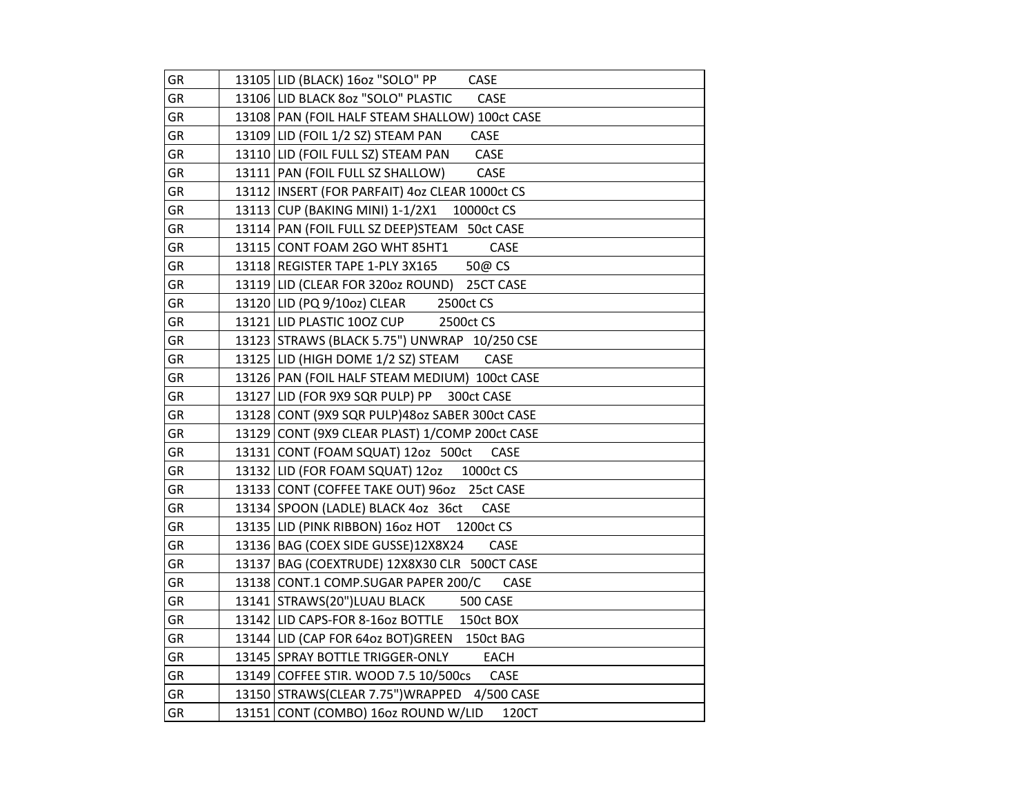| GR        | 13105 LID (BLACK) 16oz "SOLO" PP<br>CASE           |
|-----------|----------------------------------------------------|
| GR        | 13106 LID BLACK 80z "SOLO" PLASTIC<br>CASE         |
| <b>GR</b> | 13108 PAN (FOIL HALF STEAM SHALLOW) 100ct CASE     |
| GR        | 13109 LID (FOIL 1/2 SZ) STEAM PAN<br>CASE          |
| GR        | CASE<br>13110 LID (FOIL FULL SZ) STEAM PAN         |
| GR        | 13111   PAN (FOIL FULL SZ SHALLOW)<br>CASE         |
| GR        | 13112   INSERT (FOR PARFAIT) 4oz CLEAR 1000ct CS   |
| <b>GR</b> | 13113 CUP (BAKING MINI) 1-1/2X1<br>10000ct CS      |
| GR        | 13114 PAN (FOIL FULL SZ DEEP) STEAM 50ct CASE      |
| GR        | 13115 CONT FOAM 2GO WHT 85HT1<br>CASE              |
| GR        | 13118 REGISTER TAPE 1-PLY 3X165<br>50@ CS          |
| GR        | 13119 LID (CLEAR FOR 320oz ROUND) 25CT CASE        |
| GR        | 13120 LID (PQ 9/10oz) CLEAR<br>2500ct CS           |
| GR        | 13121 LID PLASTIC 100Z CUP<br>2500ct CS            |
| GR        | 13123 STRAWS (BLACK 5.75") UNWRAP 10/250 CSE       |
| <b>GR</b> | CASE<br>13125 LID (HIGH DOME 1/2 SZ) STEAM         |
| GR        | 13126 PAN (FOIL HALF STEAM MEDIUM) 100ct CASE      |
| GR        | 13127 LID (FOR 9X9 SQR PULP) PP 300ct CASE         |
| GR        | 13128 CONT (9X9 SQR PULP)48oz SABER 300ct CASE     |
| GR        | 13129 CONT (9X9 CLEAR PLAST) 1/COMP 200ct CASE     |
| GR        | 13131 CONT (FOAM SQUAT) 12oz 500ct<br>CASE         |
| GR        | 13132 LID (FOR FOAM SQUAT) 12oz<br>1000ct CS       |
| <b>GR</b> | 13133 CONT (COFFEE TAKE OUT) 96oz 25ct CASE        |
| GR        | 13134 SPOON (LADLE) BLACK 4oz 36ct<br>CASE         |
| GR        | 13135 LID (PINK RIBBON) 16oz HOT<br>1200ct CS      |
| GR        | 13136 BAG (COEX SIDE GUSSE)12X8X24<br>CASE         |
| GR        | 13137 BAG (COEXTRUDE) 12X8X30 CLR 500CT CASE       |
| GR        | 13138 CONT.1 COMP.SUGAR PAPER 200/C<br><b>CASE</b> |
| GR        | 13141 STRAWS(20")LUAU BLACK<br><b>500 CASE</b>     |
| GR        | 13142 LID CAPS-FOR 8-16oz BOTTLE 150ct BOX         |
| GR        | 13144 LID (CAP FOR 640z BOT) GREEN 150ct BAG       |
| GR        | 13145 SPRAY BOTTLE TRIGGER-ONLY<br>EACH            |
| GR        | 13149 COFFEE STIR. WOOD 7.5 10/500cs CASE          |
| GR        | 13150 STRAWS(CLEAR 7.75") WRAPPED 4/500 CASE       |
| GR        | 13151 CONT (COMBO) 16oz ROUND W/LID<br>120CT       |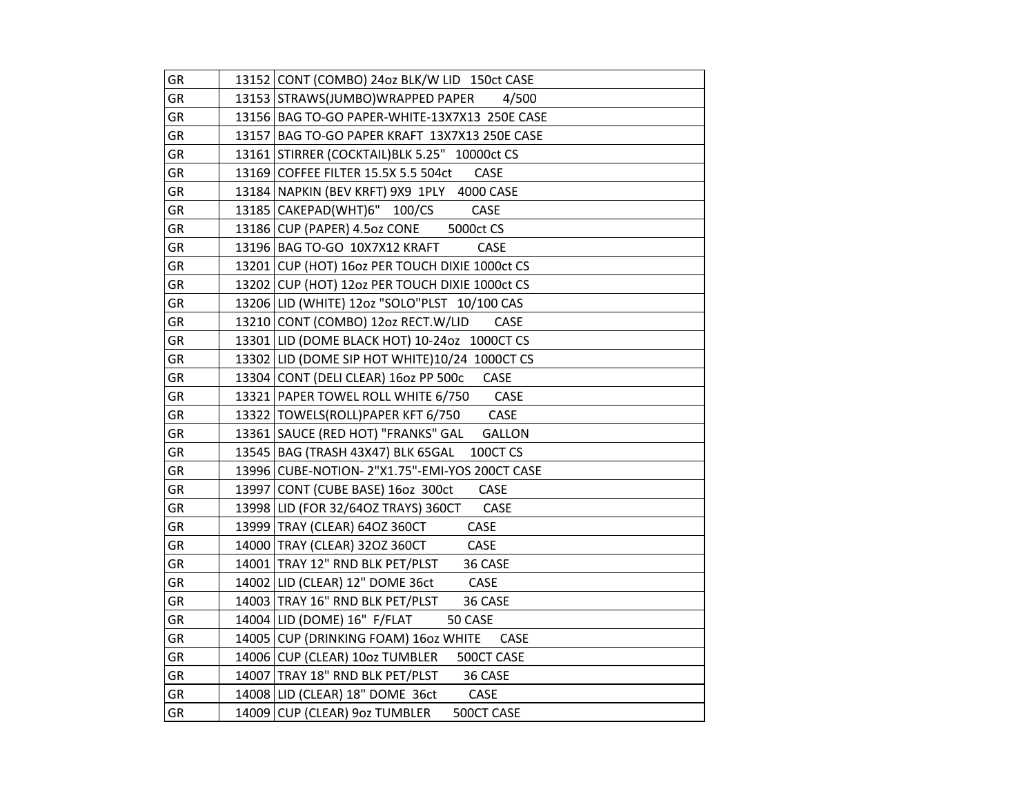| GR        | 13152 CONT (COMBO) 24oz BLK/W LID 150ct CASE        |
|-----------|-----------------------------------------------------|
| GR        | 13153 STRAWS(JUMBO)WRAPPED PAPER<br>4/500           |
| <b>GR</b> | 13156 BAG TO-GO PAPER-WHITE-13X7X13 250E CASE       |
| GR        | 13157 BAG TO-GO PAPER KRAFT 13X7X13 250E CASE       |
| GR        | 13161 STIRRER (COCKTAIL) BLK 5.25" 10000ct CS       |
| GR        | 13169 COFFEE FILTER 15.5X 5.5 504ct<br>CASE         |
| GR        | 13184 NAPKIN (BEV KRFT) 9X9 1PLY 4000 CASE          |
| GR        | 13185 CAKEPAD(WHT)6" 100/CS<br>CASE                 |
| GR        | 13186 CUP (PAPER) 4.5oz CONE<br>5000ct CS           |
| GR        | 13196 BAG TO-GO 10X7X12 KRAFT<br>CASE               |
| GR        | 13201 CUP (HOT) 160z PER TOUCH DIXIE 1000ct CS      |
| GR        | 13202 CUP (HOT) 12oz PER TOUCH DIXIE 1000ct CS      |
| GR        | 13206 LID (WHITE) 120z "SOLO"PLST 10/100 CAS        |
| GR        | 13210 CONT (COMBO) 12oz RECT.W/LID<br>CASE          |
| GR        | 13301 LID (DOME BLACK HOT) 10-24oz 1000CT CS        |
| <b>GR</b> | 13302 LID (DOME SIP HOT WHITE)10/24 1000CT CS       |
| GR        | 13304 CONT (DELI CLEAR) 16oz PP 500c<br>CASE        |
| <b>GR</b> | 13321 PAPER TOWEL ROLL WHITE 6/750<br>CASE          |
| GR        | CASE<br>13322 TOWELS(ROLL)PAPER KFT 6/750           |
| GR        | 13361 SAUCE (RED HOT) "FRANKS" GAL<br><b>GALLON</b> |
| GR        | 13545   BAG (TRASH 43X47) BLK 65GAL<br>100CT CS     |
| GR        | 13996 CUBE-NOTION- 2"X1.75"-EMI-YOS 200CT CASE      |
| GR        | 13997 CONT (CUBE BASE) 16oz 300ct<br>CASE           |
| GR        | 13998 LID (FOR 32/640Z TRAYS) 360CT<br>CASE         |
| GR        | 13999 TRAY (CLEAR) 64OZ 360CT<br>CASE               |
| GR        | 14000 TRAY (CLEAR) 32OZ 360CT<br>CASE               |
| GR        | 14001   TRAY 12" RND BLK PET/PLST<br>36 CASE        |
| GR        | 14002 LID (CLEAR) 12" DOME 36ct<br>CASE             |
| GR        | 14003 TRAY 16" RND BLK PET/PLST<br>36 CASE          |
| GR        | 14004 LID (DOME) 16" F/FLAT<br>50 CASE              |
| GR        | 14005 CUP (DRINKING FOAM) 16oz WHITE<br>CASE        |
| GR        | 14006 CUP (CLEAR) 10oz TUMBLER<br>500CT CASE        |
| GR        | 14007   TRAY 18" RND BLK PET/PLST<br>36 CASE        |
| GR        | 14008 LID (CLEAR) 18" DOME 36ct<br>CASE             |
| GR        | 14009 CUP (CLEAR) 9oz TUMBLER<br>500CT CASE         |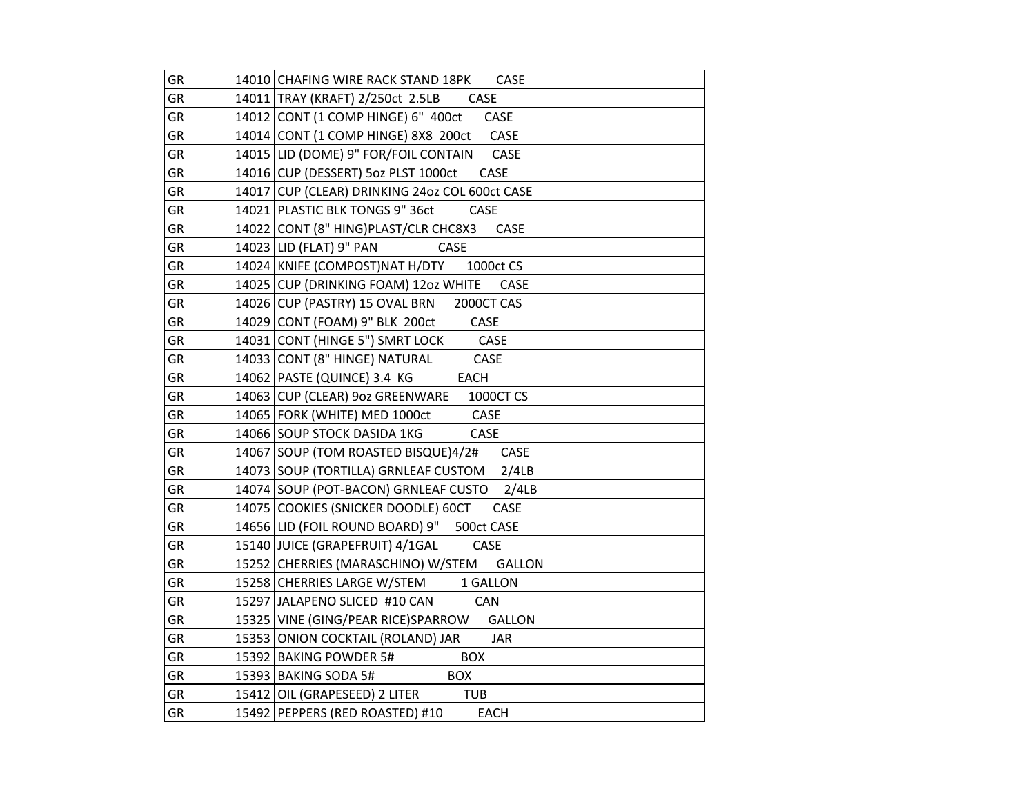| GR | 14010 CHAFING WIRE RACK STAND 18PK<br><b>CASE</b>                |
|----|------------------------------------------------------------------|
| GR | 14011 TRAY (KRAFT) 2/250ct 2.5LB<br>CASE                         |
| GR | 14012 CONT (1 COMP HINGE) 6" 400ct<br>CASE                       |
| GR | 14014 CONT (1 COMP HINGE) 8X8 200ct<br><b>CASE</b>               |
| GR | 14015 LID (DOME) 9" FOR/FOIL CONTAIN CASE                        |
| GR | 14016 CUP (DESSERT) 5oz PLST 1000ct CASE                         |
| GR | 14017 CUP (CLEAR) DRINKING 24oz COL 600ct CASE                   |
| GR | 14021 PLASTIC BLK TONGS 9" 36ct<br><b>CASE</b>                   |
| GR | 14022 CONT (8" HING)PLAST/CLR CHC8X3<br>CASE                     |
| GR | 14023 LID (FLAT) 9" PAN<br>CASE                                  |
| GR | 14024 KNIFE (COMPOST)NAT H/DTY<br>1000ct CS                      |
| GR | 14025 CUP (DRINKING FOAM) 12oz WHITE<br>CASE                     |
| GR | 14026 CUP (PASTRY) 15 OVAL BRN<br>2000CT CAS                     |
| GR | 14029 CONT (FOAM) 9" BLK 200ct<br>CASE                           |
| GR | $\overline{\phantom{a}}$ CASE<br>14031 CONT (HINGE 5") SMRT LOCK |
| GR | 14033 CONT (8" HINGE) NATURAL<br>CASE                            |
| GR | 14062   PASTE (QUINCE) 3.4 KG<br>EACH                            |
| GR | 14063 CUP (CLEAR) 9oz GREENWARE 1000CT CS                        |
| GR | 14065   FORK (WHITE) MED 1000ct CASE                             |
| GR | 14066 SOUP STOCK DASIDA 1KG<br>CASE                              |
| GR | 14067 SOUP (TOM ROASTED BISQUE)4/2# CASE                         |
| GR | 14073 SOUP (TORTILLA) GRNLEAF CUSTOM 2/4LB                       |
| GR | 14074 SOUP (POT-BACON) GRNLEAF CUSTO 2/4LB                       |
| GR | 14075 COOKIES (SNICKER DOODLE) 60CT CASE                         |
| GR | 14656 LID (FOIL ROUND BOARD) 9" 500ct CASE                       |
| GR | 15140 JUICE (GRAPEFRUIT) 4/1GAL<br>CASE                          |
| GR | 15252 CHERRIES (MARASCHINO) W/STEM GALLON                        |
| GR | 15258 CHERRIES LARGE W/STEM 1 GALLON                             |
| GR | 15297 JALAPENO SLICED #10 CAN CAN                                |
| GR | 15325 VINE (GING/PEAR RICE)SPARROW GALLON                        |
| GR | 15353 ONION COCKTAIL (ROLAND) JAR<br><b>JAR</b>                  |
| GR | 15392 BAKING POWDER 5#<br><b>BOX</b>                             |
| GR | 15393 BAKING SODA 5#<br><b>BOX</b>                               |
| GR | 15412 OIL (GRAPESEED) 2 LITER TUB                                |
| GR | 15492 PEPPERS (RED ROASTED) #10<br><b>EACH</b>                   |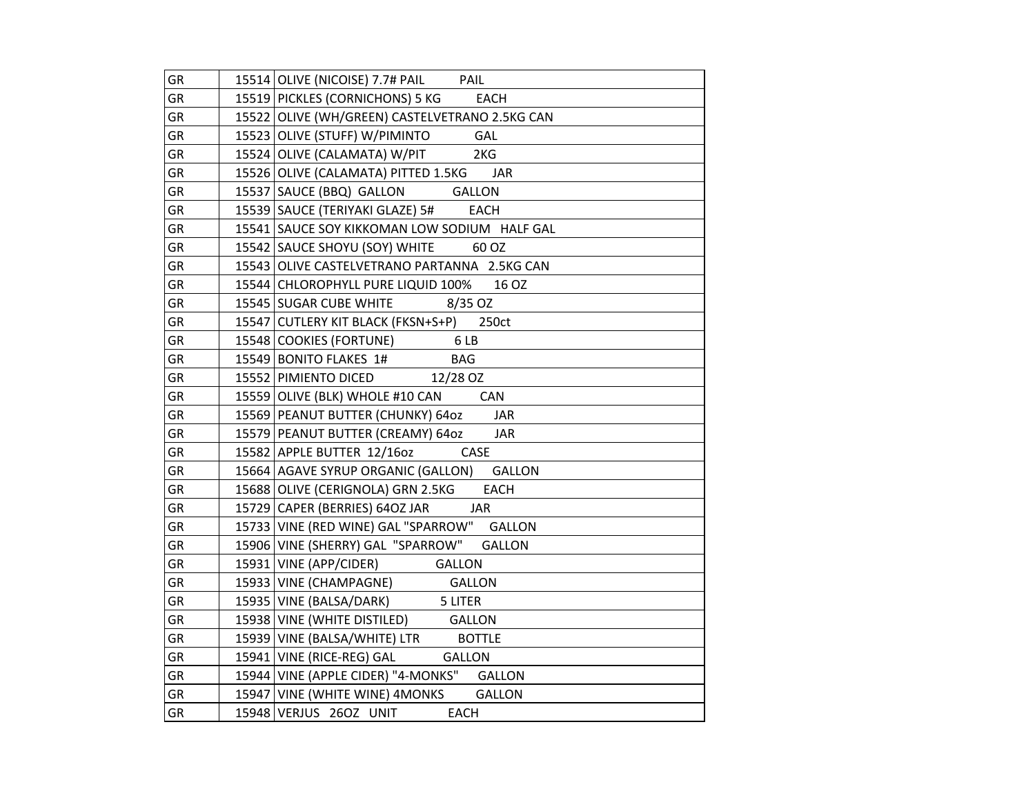| GR        | 15514 OLIVE (NICOISE) 7.7# PAIL PAIL             |
|-----------|--------------------------------------------------|
| <b>GR</b> | 15519 PICKLES (CORNICHONS) 5 KG<br><b>EACH</b>   |
| <b>GR</b> | 15522 OLIVE (WH/GREEN) CASTELVETRANO 2.5KG CAN   |
| GR        | 15523 OLIVE (STUFF) W/PIMINTO GAL                |
| GR        | 15524 OLIVE (CALAMATA) W/PIT 2KG                 |
| GR        | 15526 OLIVE (CALAMATA) PITTED 1.5KG JAR          |
| GR        | 15537 SAUCE (BBQ) GALLON GALLON                  |
| GR        | <b>EACH</b><br>15539 SAUCE (TERIYAKI GLAZE) 5#   |
| GR        | 15541 SAUCE SOY KIKKOMAN LOW SODIUM HALF GAL     |
| GR        | 15542 SAUCE SHOYU (SOY) WHITE 60 OZ              |
| <b>GR</b> | 15543 OLIVE CASTELVETRANO PARTANNA 2.5KG CAN     |
| GR        | 15544 CHLOROPHYLL PURE LIQUID 100% 16 OZ         |
| GR        | 15545 SUGAR CUBE WHITE 8/35 OZ                   |
| GR        | 15547 CUTLERY KIT BLACK (FKSN+S+P) 250ct         |
| GR        | 15548 COOKIES (FORTUNE) 6 LB                     |
| GR        | 15549 BONITO FLAKES 1#<br><b>BAG</b>             |
| GR        | 15552 PIMIENTO DICED 12/28 OZ                    |
| GR        | 15559 OLIVE (BLK) WHOLE #10 CAN CAN              |
| GR        | 15569 PEANUT BUTTER (CHUNKY) 64oz JAR            |
| GR        | 15579 PEANUT BUTTER (CREAMY) 64oz<br>JAR         |
| GR        | 15582 APPLE BUTTER 12/16oz CASE                  |
| GR        | 15664 AGAVE SYRUP ORGANIC (GALLON) GALLON        |
| GR        | 15688 OLIVE (CERIGNOLA) GRN 2.5KG<br><b>EACH</b> |
| GR        | 15729 CAPER (BERRIES) 640Z JAR<br><b>JAR</b>     |
| GR        | 15733 VINE (RED WINE) GAL "SPARROW" GALLON       |
| GR        | 15906 VINE (SHERRY) GAL "SPARROW" GALLON         |
| GR        | 15931 VINE (APP/CIDER) GALLON                    |
| GR        | 15933 VINE (CHAMPAGNE) GALLON                    |
| GR        | 15935 VINE (BALSA/DARK) 5 LITER                  |
| GR        | 15938 VINE (WHITE DISTILED) GALLON               |
| GR        | 15939 VINE (BALSA/WHITE) LTR BOTTLE              |
| <b>GR</b> | 15941 VINE (RICE-REG) GAL GALLON                 |
| GR        | 15944 VINE (APPLE CIDER) "4-MONKS" GALLON        |
| GR        | 15947 VINE (WHITE WINE) 4MONKS GALLON            |
| GR        | 15948 VERJUS 26OZ UNIT<br>EACH                   |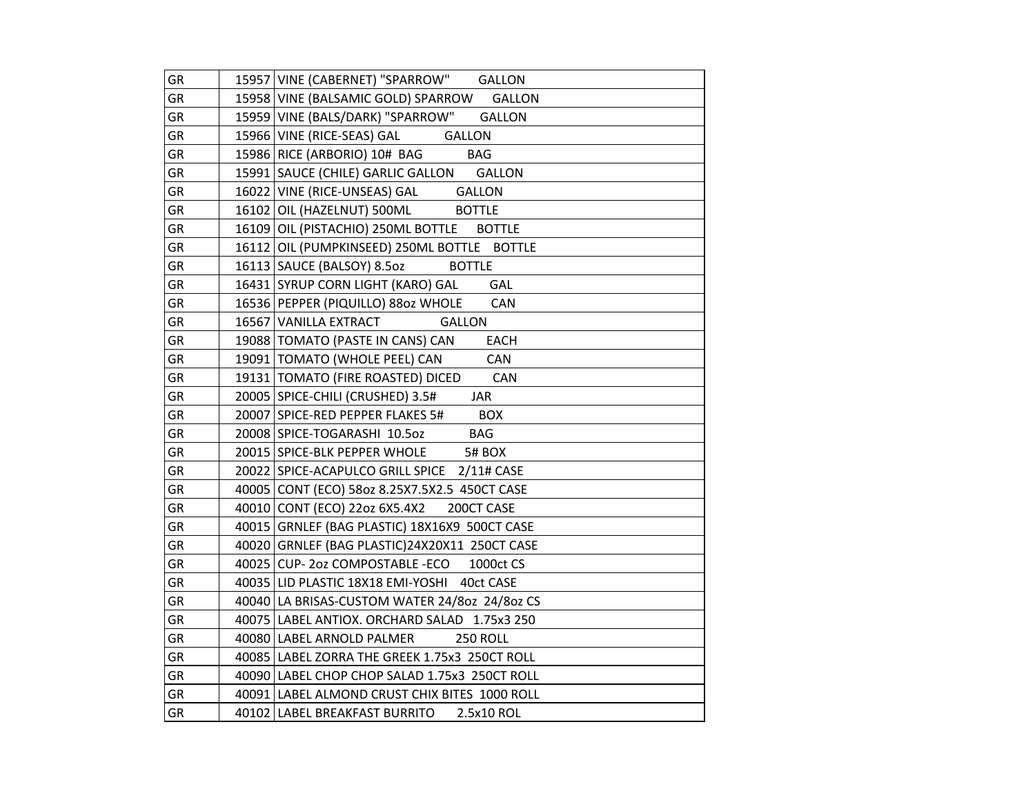| GR        | 15957 VINE (CABERNET) "SPARROW" GALLON              |
|-----------|-----------------------------------------------------|
| <b>GR</b> | 15958 VINE (BALSAMIC GOLD) SPARROW<br><b>GALLON</b> |
| GR        | 15959 VINE (BALS/DARK) "SPARROW"<br><b>GALLON</b>   |
| GR        | 15966 VINE (RICE-SEAS) GAL<br><b>GALLON</b>         |
| GR        | 15986 RICE (ARBORIO) 10# BAG BAG                    |
| GR        | 15991 SAUCE (CHILE) GARLIC GALLON GALLON            |
| GR        | 16022 VINE (RICE-UNSEAS) GAL GALLON                 |
| GR        | 16102 OIL (HAZELNUT) 500ML<br><b>BOTTLE</b>         |
| <b>GR</b> | 16109 OIL (PISTACHIO) 250ML BOTTLE BOTTLE           |
| GR        | 16112 OIL (PUMPKINSEED) 250ML BOTTLE BOTTLE         |
| GR        | 16113 SAUCE (BALSOY) 8.5oz<br><b>BOTTLE</b>         |
| GR        | GAL<br>16431 SYRUP CORN LIGHT (KARO) GAL            |
| GR        | 16536 PEPPER (PIQUILLO) 880z WHOLE<br>CAN           |
| GR        | 16567 VANILLA EXTRACT<br><b>GALLON</b>              |
| GR        | 19088 TOMATO (PASTE IN CANS) CAN<br>EACH            |
| GR        | 19091   TOMATO (WHOLE PEEL) CAN<br><b>CAN</b>       |
| GR        | 19131   TOMATO (FIRE ROASTED) DICED CAN             |
| <b>GR</b> | 20005 SPICE-CHILI (CRUSHED) 3.5#<br><b>JAR</b>      |
| <b>GR</b> | 20007 SPICE-RED PEPPER FLAKES 5# BOX                |
| GR        | 20008 SPICE-TOGARASHI 10.50Z BAG                    |
| GR        | 20015 SPICE-BLK PEPPER WHOLE 5# BOX                 |
| GR        | 20022 SPICE-ACAPULCO GRILL SPICE 2/11# CASE         |
| GR        | 40005 CONT (ECO) 580z 8.25X7.5X2.5 450CT CASE       |
| GR        | 40010 CONT (ECO) 22oz 6X5.4X2<br>200CT CASE         |
| <b>GR</b> | 40015 GRNLEF (BAG PLASTIC) 18X16X9 500CT CASE       |
| <b>GR</b> | 40020 GRNLEF (BAG PLASTIC) 24X20X11 250CT CASE      |
| GR        | 40025 CUP-2oz COMPOSTABLE-ECO 1000ct CS             |
| GR        | 40035 LID PLASTIC 18X18 EMI-YOSHI 40ct CASE         |
| GR        | 40040 LA BRISAS-CUSTOM WATER 24/80z 24/80z CS       |
| GR        | 40075 LABEL ANTIOX. ORCHARD SALAD 1.75x3 250        |
| GR        | 40080 LABEL ARNOLD PALMER<br><b>250 ROLL</b>        |
| GR        | 40085 LABEL ZORRA THE GREEK 1.75x3 250CT ROLL       |
| GR        | 40090 LABEL CHOP CHOP SALAD 1.75x3 250CT ROLL       |
| GR        | 40091   LABEL ALMOND CRUST CHIX BITES 1000 ROLL     |
| GR        | 40102 LABEL BREAKFAST BURRITO<br>2.5x10 ROL         |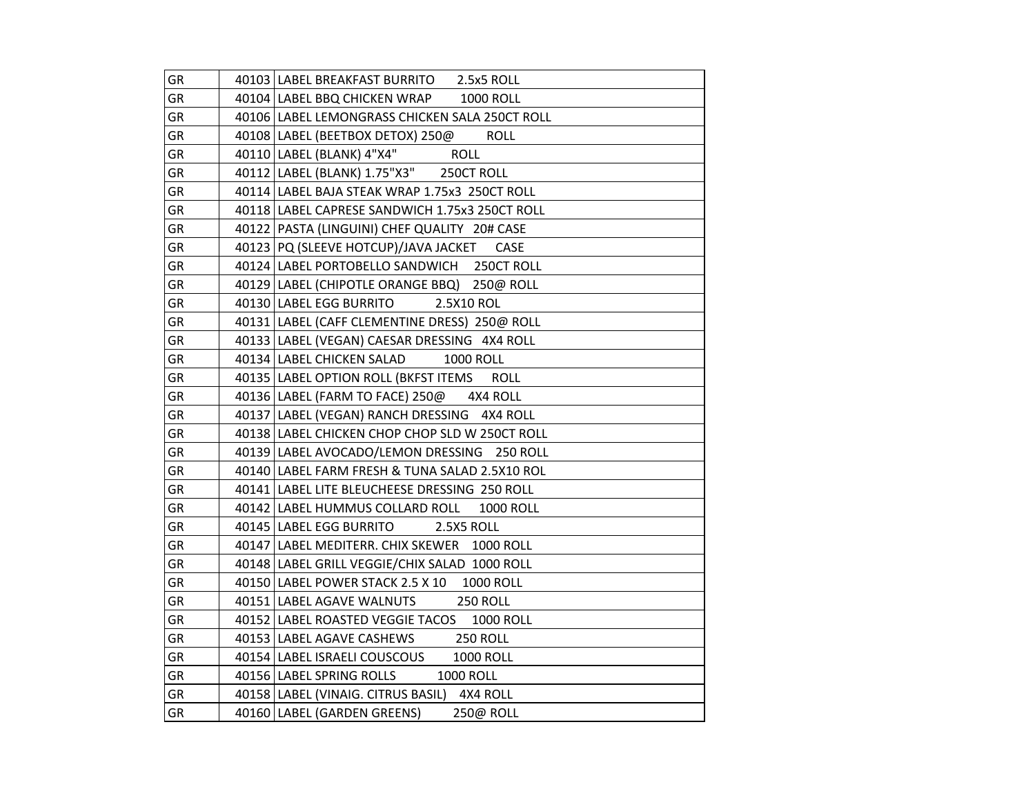| GR        | 40103 LABEL BREAKFAST BURRITO 2.5x5 ROLL               |
|-----------|--------------------------------------------------------|
| <b>GR</b> | 40104 LABEL BBQ CHICKEN WRAP<br><b>1000 ROLL</b>       |
| GR        | 40106 LABEL LEMONGRASS CHICKEN SALA 250CT ROLL         |
| GR        | 40108 LABEL (BEETBOX DETOX) 250@<br><b>ROLL</b>        |
| GR        | 40110   LABEL (BLANK) 4"X4" ROLL                       |
| GR        | 40112 LABEL (BLANK) 1.75"X3" 250CT ROLL                |
| GR        | 40114 LABEL BAJA STEAK WRAP 1.75x3 250CT ROLL          |
| GR        | 40118 LABEL CAPRESE SANDWICH 1.75x3 250CT ROLL         |
| GR        | 40122   PASTA (LINGUINI) CHEF QUALITY 20# CASE         |
| GR        | 40123 PQ (SLEEVE HOTCUP)/JAVA JACKET<br>CASE           |
| GR        | 40124 LABEL PORTOBELLO SANDWICH 250CT ROLL             |
| GR        | 40129 LABEL (CHIPOTLE ORANGE BBQ) 250@ ROLL            |
| GR        | 40130 LABEL EGG BURRITO<br>2.5X10 ROL                  |
| GR        | 40131 LABEL (CAFF CLEMENTINE DRESS) 250@ ROLL          |
| GR        | 40133 LABEL (VEGAN) CAESAR DRESSING 4X4 ROLL           |
| GR        | 40134 LABEL CHICKEN SALAD<br><b>1000 ROLL</b>          |
| GR        | 40135 LABEL OPTION ROLL (BKFST ITEMS<br><b>ROLL</b>    |
| GR        | 40136 LABEL (FARM TO FACE) 250@ 4X4 ROLL               |
| GR        | 40137 LABEL (VEGAN) RANCH DRESSING 4X4 ROLL            |
| GR        | 40138 LABEL CHICKEN CHOP CHOP SLD W 250CT ROLL         |
| GR        | 40139 LABEL AVOCADO/LEMON DRESSING 250 ROLL            |
| GR        | 40140 LABEL FARM FRESH & TUNA SALAD 2.5X10 ROL         |
| GR        | 40141 LABEL LITE BLEUCHEESE DRESSING 250 ROLL          |
| GR        | 40142 LABEL HUMMUS COLLARD ROLL<br><b>1000 ROLL</b>    |
| GR        | 40145 LABEL EGG BURRITO<br>2.5X5 ROLL                  |
| GR        | 40147 LABEL MEDITERR. CHIX SKEWER 1000 ROLL            |
| GR        | 40148 LABEL GRILL VEGGIE/CHIX SALAD 1000 ROLL          |
| GR        | 40150 LABEL POWER STACK 2.5 X 10 1000 ROLL             |
| GR        | <b>250 ROLL</b><br>40151 LABEL AGAVE WALNUTS           |
| GR        | 40152   LABEL ROASTED VEGGIE TACOS<br><b>1000 ROLL</b> |
| GR        | 40153 LABEL AGAVE CASHEWS<br><b>250 ROLL</b>           |
| GR        | 40154 LABEL ISRAELI COUSCOUS<br><b>1000 ROLL</b>       |
| GR        | 40156 LABEL SPRING ROLLS<br><b>1000 ROLL</b>           |
| GR        | 40158 LABEL (VINAIG. CITRUS BASIL) 4X4 ROLL            |
| GR        | 40160   LABEL (GARDEN GREENS)<br>250@ ROLL             |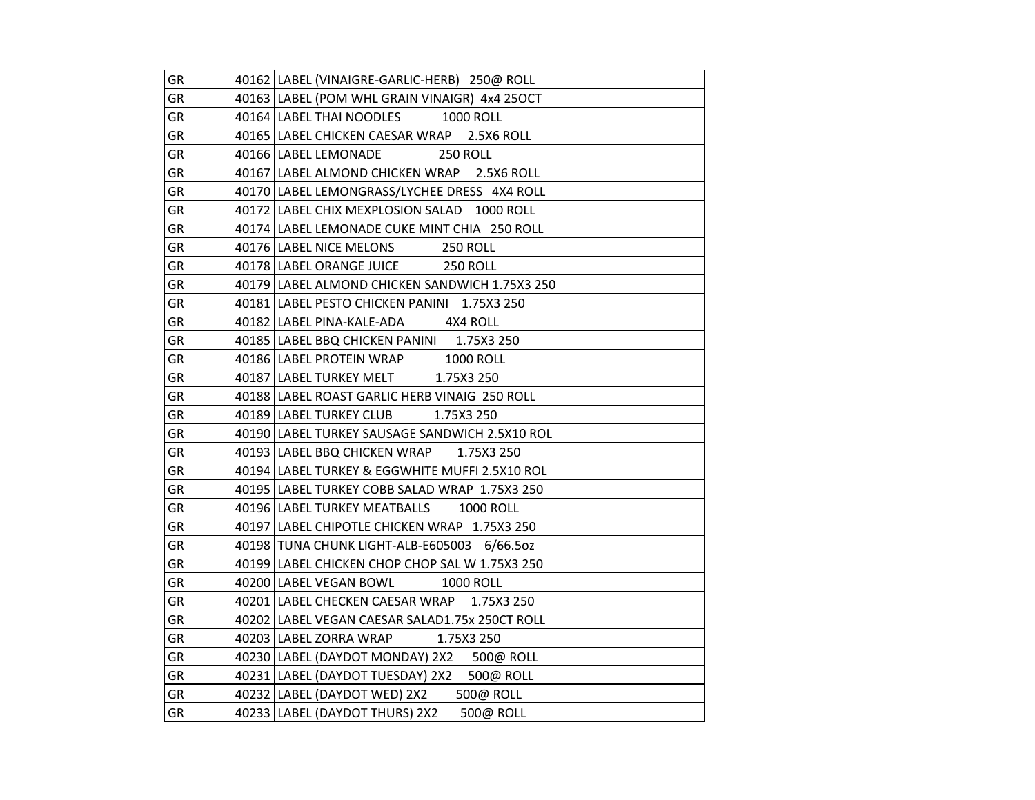| GR        | 40162   LABEL (VINAIGRE-GARLIC-HERB) 250@ ROLL   |
|-----------|--------------------------------------------------|
| GR        | 40163 LABEL (POM WHL GRAIN VINAIGR) 4x4 25OCT    |
| GR        | 40164 LABEL THAI NOODLES 1000 ROLL               |
| GR        | 40165 LABEL CHICKEN CAESAR WRAP 2.5X6 ROLL       |
| GR        | 40166 LABEL LEMONADE<br><b>250 ROLL</b>          |
| GR        | 40167 LABEL ALMOND CHICKEN WRAP 2.5X6 ROLL       |
| GR        | 40170 LABEL LEMONGRASS/LYCHEE DRESS 4X4 ROLL     |
| GR        | 40172 LABEL CHIX MEXPLOSION SALAD 1000 ROLL      |
| GR        | 40174 LABEL LEMONADE CUKE MINT CHIA 250 ROLL     |
| GR        | 40176 LABEL NICE MELONS 250 ROLL                 |
| GR        | 40178 LABEL ORANGE JUICE 250 ROLL                |
| GR        | 40179 LABEL ALMOND CHICKEN SANDWICH 1.75X3 250   |
| GR        | 40181 LABEL PESTO CHICKEN PANINI 1.75X3 250      |
| GR        | 40182 LABEL PINA-KALE-ADA 4X4 ROLL               |
| <b>GR</b> | 40185   LABEL BBQ CHICKEN PANINI 1.75X3 250      |
| GR        | 40186 LABEL PROTEIN WRAP 1000 ROLL               |
| GR        | 40187 LABEL TURKEY MELT 1.75X3 250               |
| GR        | 40188 LABEL ROAST GARLIC HERB VINAIG 250 ROLL    |
| GR        | 40189   LABEL TURKEY CLUB 1.75X3 250             |
| GR        | 40190 LABEL TURKEY SAUSAGE SANDWICH 2.5X10 ROL   |
| GR        | 40193 LABEL BBQ CHICKEN WRAP<br>1.75X3 250       |
| GR        | 40194 LABEL TURKEY & EGGWHITE MUFFI 2.5X10 ROL   |
| GR        | 40195 LABEL TURKEY COBB SALAD WRAP 1.75X3 250    |
| GR        | 40196 LABEL TURKEY MEATBALLS<br><b>1000 ROLL</b> |
| GR        | 40197 LABEL CHIPOTLE CHICKEN WRAP 1.75X3 250     |
| GR        | 40198 TUNA CHUNK LIGHT-ALB-E605003 6/66.5oz      |
| GR        | 40199 LABEL CHICKEN CHOP CHOP SAL W 1.75X3 250   |
| GR        | 40200 LABEL VEGAN BOWL 1000 ROLL                 |
| GR        | 40201 LABEL CHECKEN CAESAR WRAP 1.75X3 250       |
| GR        | 40202   LABEL VEGAN CAESAR SALAD1.75x 250CT ROLL |
| GR        | 40203   LABEL ZORRA WRAP 1.75X3 250              |
| GR        | 40230 LABEL (DAYDOT MONDAY) 2X2 500@ ROLL        |
| GR        | 40231 LABEL (DAYDOT TUESDAY) 2X2 500@ ROLL       |
| GR        | 500@ ROLL<br>40232 LABEL (DAYDOT WED) 2X2        |
| GR        | 40233 LABEL (DAYDOT THURS) 2X2<br>500@ ROLL      |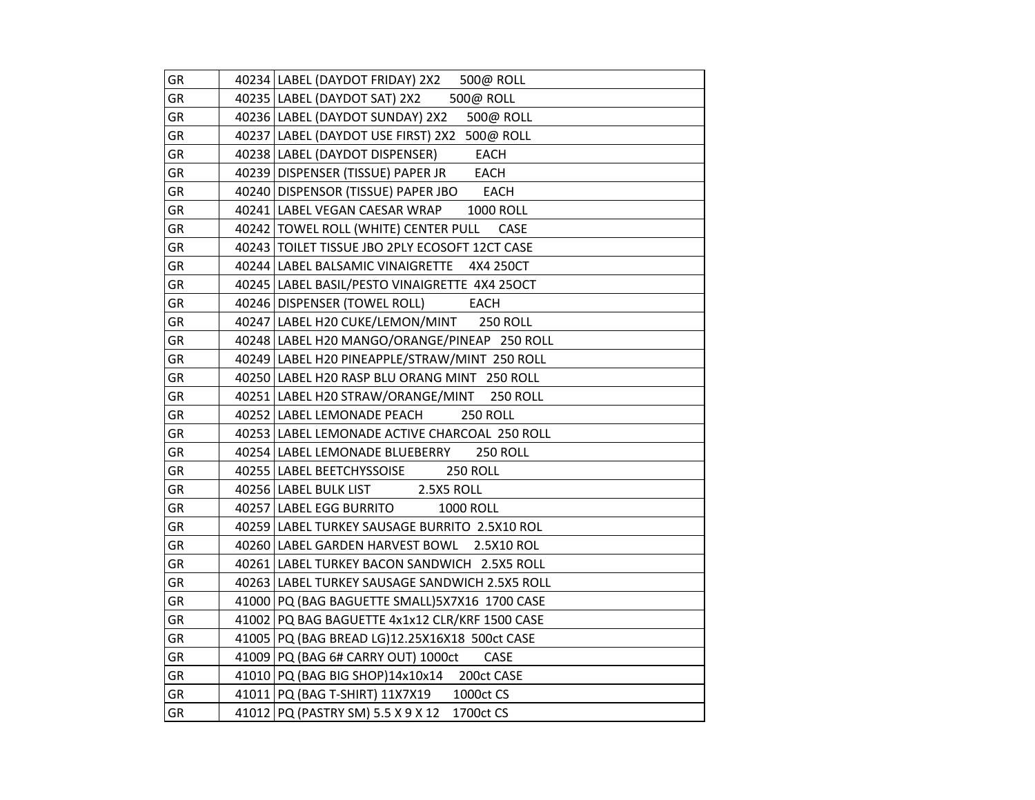| GR        | 40234 LABEL (DAYDOT FRIDAY) 2X2 500@ ROLL             |
|-----------|-------------------------------------------------------|
| GR        | 40235   LABEL (DAYDOT SAT) 2X2 500@ ROLL              |
| <b>GR</b> | 40236 LABEL (DAYDOT SUNDAY) 2X2<br>500@ ROLL          |
| GR        | 40237 LABEL (DAYDOT USE FIRST) 2X2 500@ ROLL          |
| GR        | 40238 LABEL (DAYDOT DISPENSER) EACH                   |
| GR        | EACH<br>40239 DISPENSER (TISSUE) PAPER JR             |
| GR        | 40240 DISPENSOR (TISSUE) PAPER JBO EACH               |
| GR        | 40241 LABEL VEGAN CAESAR WRAP<br><b>1000 ROLL</b>     |
| GR        | 40242   TOWEL ROLL (WHITE) CENTER PULL<br><b>CASE</b> |
| GR        | 40243 TOILET TISSUE JBO 2PLY ECOSOFT 12CT CASE        |
| GR        | 40244 LABEL BALSAMIC VINAIGRETTE 4X4 250CT            |
| GR        | 40245 LABEL BASIL/PESTO VINAIGRETTE 4X4 25OCT         |
| GR        | 40246 DISPENSER (TOWEL ROLL)<br><b>EACH</b>           |
| GR        | 40247 LABEL H20 CUKE/LEMON/MINT 250 ROLL              |
| GR        | 40248 LABEL H20 MANGO/ORANGE/PINEAP 250 ROLL          |
| GR        | 40249 LABEL H20 PINEAPPLE/STRAW/MINT 250 ROLL         |
| GR        | 40250 LABEL H20 RASP BLU ORANG MINT 250 ROLL          |
| GR        | 40251 LABEL H20 STRAW/ORANGE/MINT 250 ROLL            |
| GR        | 40252 LABEL LEMONADE PEACH<br><b>250 ROLL</b>         |
| GR        | 40253 LABEL LEMONADE ACTIVE CHARCOAL 250 ROLL         |
| GR        | 40254 LABEL LEMONADE BLUEBERRY<br><b>250 ROLL</b>     |
| GR        | 40255   LABEL BEETCHYSSOISE<br><b>250 ROLL</b>        |
| GR        | 2.5X5 ROLL<br>40256 LABEL BULK LIST                   |
| GR        | 40257 LABEL EGG BURRITO<br><b>1000 ROLL</b>           |
| GR        | 40259 LABEL TURKEY SAUSAGE BURRITO 2.5X10 ROL         |
| GR        | 40260 LABEL GARDEN HARVEST BOWL 2.5X10 ROL            |
| GR        | 40261   LABEL TURKEY BACON SANDWICH 2.5X5 ROLL        |
| GR        | 40263 LABEL TURKEY SAUSAGE SANDWICH 2.5X5 ROLL        |
| GR        | 41000 PQ (BAG BAGUETTE SMALL) 5X7X16 1700 CASE        |
| GR        | 41002 PQ BAG BAGUETTE 4x1x12 CLR/KRF 1500 CASE        |
| GR        | 41005 PQ (BAG BREAD LG)12.25X16X18 500ct CASE         |
| GR        | 41009 PQ (BAG 6# CARRY OUT) 1000ct<br><b>CASE</b>     |
| GR        | 41010 PQ (BAG BIG SHOP)14x10x14 200ct CASE            |
| GR        | 41011 PQ (BAG T-SHIRT) 11X7X19 1000ct CS              |
| GR        | 41012 PQ (PASTRY SM) 5.5 X 9 X 12 1700ct CS           |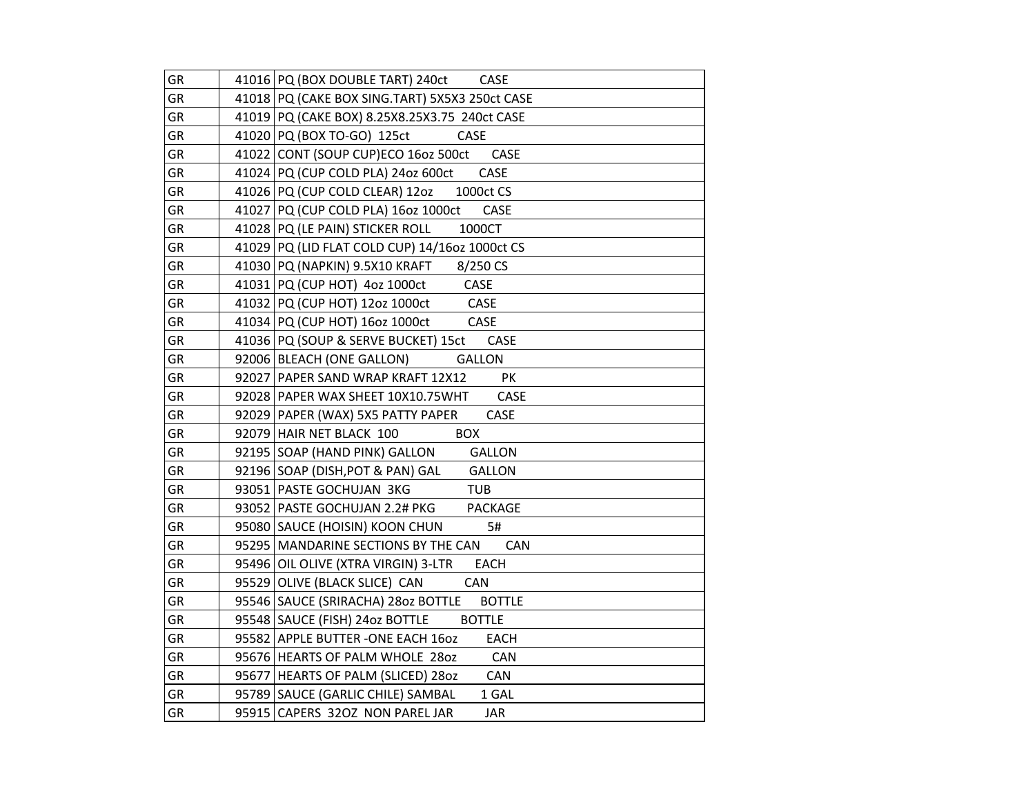| GR        | 41016 PQ (BOX DOUBLE TART) 240ct CASE               |
|-----------|-----------------------------------------------------|
| <b>GR</b> | 41018 PQ (CAKE BOX SING.TART) 5X5X3 250ct CASE      |
| GR        | 41019 PQ (CAKE BOX) 8.25X8.25X3.75 240ct CASE       |
| GR        | 41020 PQ (BOX TO-GO) 125ct<br>CASE                  |
| GR        | 41022 CONT (SOUP CUP)ECO 160z 500ct CASE            |
| GR        | CASE<br>41024 PQ (CUP COLD PLA) 24oz 600ct          |
| GR        | 41026 PQ (CUP COLD CLEAR) 12oz 1000ct CS            |
| GR        | 41027 PQ (CUP COLD PLA) 160z 1000ct CASE            |
| GR        | 1000CT<br>41028 PQ (LE PAIN) STICKER ROLL           |
| GR        | 41029 PQ (LID FLAT COLD CUP) 14/16oz 1000ct CS      |
| GR        | 41030 PQ (NAPKIN) 9.5X10 KRAFT 8/250 CS             |
| GR        | 41031 PQ (CUP HOT) 4oz 1000ct<br>CASE               |
| GR        | 41032 PQ (CUP HOT) 12oz 1000ct<br>CASE              |
| GR        | 41034 PQ (CUP HOT) 16oz 1000ct<br>CASE              |
| GR        | 41036 PQ (SOUP & SERVE BUCKET) 15ct CASE            |
| GR        | 92006 BLEACH (ONE GALLON)<br><b>GALLON</b>          |
| GR        | PK<br>92027 PAPER SAND WRAP KRAFT 12X12             |
| GR        | 92028 PAPER WAX SHEET 10X10.75WHT<br>CASE           |
| GR        | CASE<br>92029 PAPER (WAX) 5X5 PATTY PAPER           |
| GR        | <b>BOX</b><br>92079 HAIR NET BLACK 100              |
| GR        | 92195 SOAP (HAND PINK) GALLON<br>GALLON             |
| GR        | 92196 SOAP (DISH, POT & PAN) GAL<br><b>GALLON</b>   |
| GR        | 93051 PASTE GOCHUJAN 3KG<br><b>TUB</b>              |
| GR        | 93052   PASTE GOCHUJAN 2.2# PKG<br>PACKAGE          |
| GR        | 95080 SAUCE (HOISIN) KOON CHUN<br>5#                |
| GR        | 95295 MANDARINE SECTIONS BY THE CAN<br>CAN          |
| GR        | EACH<br>95496 OIL OLIVE (XTRA VIRGIN) 3-LTR         |
| GR        | 95529 OLIVE (BLACK SLICE) CAN<br>CAN                |
| GR        | 95546 SAUCE (SRIRACHA) 2802 BOTTLE<br><b>BOTTLE</b> |
| GR        | <b>BOTTLE</b><br>95548 SAUCE (FISH) 24oz BOTTLE     |
| GR        | 95582 APPLE BUTTER -ONE EACH 160Z<br>EACH           |
| GR        | 95676 HEARTS OF PALM WHOLE 280Z<br>CAN              |
| GR        | 95677 HEARTS OF PALM (SLICED) 280Z<br>CAN           |
| GR        | 95789 SAUCE (GARLIC CHILE) SAMBAL<br>1 GAL          |
| GR        | 95915 CAPERS 320Z NON PAREL JAR<br><b>JAR</b>       |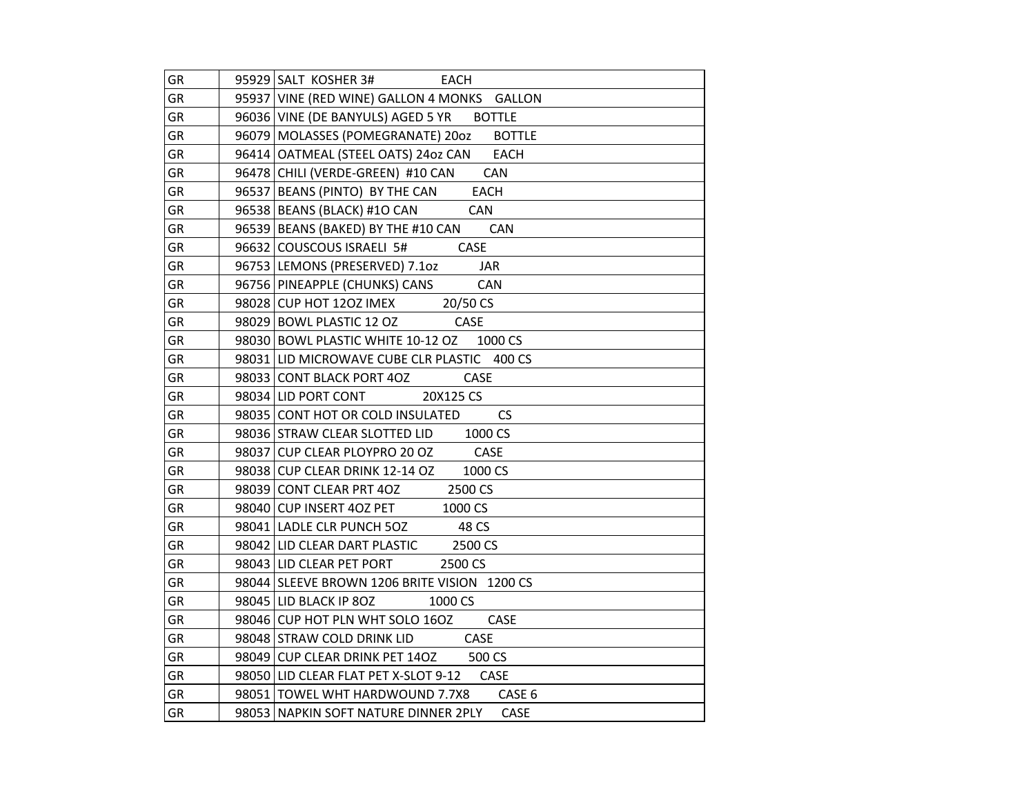| GR        | 95929 SALT KOSHER 3# EACH                            |
|-----------|------------------------------------------------------|
| GR        | 95937 VINE (RED WINE) GALLON 4 MONKS GALLON          |
| <b>GR</b> | 96036 VINE (DE BANYULS) AGED 5 YR BOTTLE             |
| GR        | 96079   MOLASSES (POMEGRANATE) 20oz<br><b>BOTTLE</b> |
| GR        | 96414   OATMEAL (STEEL OATS) 24oz CAN EACH           |
| GR        | 96478 CHILI (VERDE-GREEN) #10 CAN CAN                |
| GR        | 96537 BEANS (PINTO) BY THE CAN<br><b>EACH</b>        |
| GR        | 96538 BEANS (BLACK) #10 CAN<br>CAN                   |
| GR        | 96539 BEANS (BAKED) BY THE #10 CAN CAN               |
| GR        | 96632 COUSCOUS ISRAELI 5# CASE                       |
| GR        | 96753 LEMONS (PRESERVED) 7.10z JAR                   |
| <b>GR</b> | 96756 PINEAPPLE (CHUNKS) CANS<br>CAN                 |
| GR        | 98028 CUP HOT 120Z IMEX 20/50 CS                     |
| GR        | 98029 BOWL PLASTIC 12 OZ CASE                        |
| GR        | 98030 BOWL PLASTIC WHITE 10-12 OZ 1000 CS            |
| <b>GR</b> | 98031 LID MICROWAVE CUBE CLR PLASTIC 400 CS          |
| <b>GR</b> | 98033 CONT BLACK PORT 4OZ<br><b>CASE</b>             |
| GR        | 98034 LID PORT CONT 20X125 CS                        |
| GR        | 98035 CONT HOT OR COLD INSULATED CS                  |
| GR        | 98036 STRAW CLEAR SLOTTED LID 1000 CS                |
| GR        | 98037 CUP CLEAR PLOYPRO 20 OZ CASE                   |
| GR        | 98038 CUP CLEAR DRINK 12-14 OZ 1000 CS               |
| GR        | 98039 CONT CLEAR PRT 40Z 2500 CS                     |
| GR        | 98040 CUP INSERT 4OZ PET<br>1000 CS                  |
| GR        | 98041 LADLE CLR PUNCH 5OZ 48 CS                      |
| GR        | 98042 LID CLEAR DART PLASTIC 2500 CS                 |
| GR        | 98043 LID CLEAR PET PORT<br>2500 CS                  |
| GR        | 98044 SLEEVE BROWN 1206 BRITE VISION 1200 CS         |
| GR        | 98045 LID BLACK IP 80Z 1000 CS                       |
| GR        | 98046 CUP HOT PLN WHT SOLO 16OZ CASE                 |
| GR        | 98048 STRAW COLD DRINK LID CASE                      |
| GR        | 98049 CUP CLEAR DRINK PET 140Z 500 CS                |
| GR        | 98050 LID CLEAR FLAT PET X-SLOT 9-12 CASE            |
| GR        | 98051   TOWEL WHT HARDWOUND 7.7X8 CASE 6             |
| GR        | 98053 NAPKIN SOFT NATURE DINNER 2PLY<br>CASE         |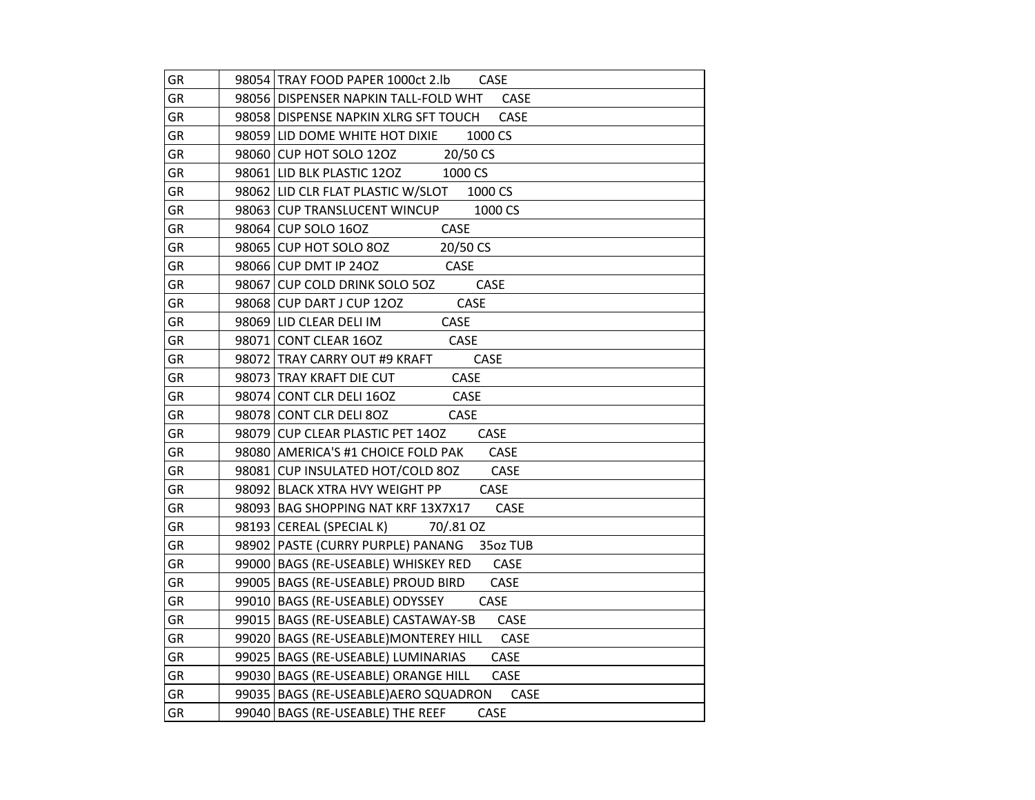| GR        | 98054 TRAY FOOD PAPER 1000ct 2.lb<br><b>CASE</b> |
|-----------|--------------------------------------------------|
| GR        | CASE<br>98056 DISPENSER NAPKIN TALL-FOLD WHT     |
| <b>GR</b> | CASE<br>98058 DISPENSE NAPKIN XLRG SFT TOUCH     |
| GR        | 1000 CS<br>98059 LID DOME WHITE HOT DIXIE        |
| GR        | 98060 CUP HOT SOLO 120Z 20/50 CS                 |
| GR        | 98061 LID BLK PLASTIC 120Z 1000 CS               |
| GR        | 98062 LID CLR FLAT PLASTIC W/SLOT 1000 CS        |
| GR        | 98063 CUP TRANSLUCENT WINCUP 1000 CS             |
| GR        | 98064 CUP SOLO 16OZ<br>CASE                      |
| GR        | 20/50 CS<br>98065 CUP HOT SOLO 8OZ               |
| GR        | 98066 CUP DMT IP 240Z<br><b>CASE</b>             |
| <b>GR</b> | 98067 CUP COLD DRINK SOLO 5OZ<br>CASE            |
| GR        | <b>CASE</b><br>98068 CUP DART J CUP 120Z         |
| GR        | CASE<br>98069 LID CLEAR DELI IM                  |
| GR        | CASE<br>98071 CONT CLEAR 16OZ                    |
| <b>GR</b> | 98072 TRAY CARRY OUT #9 KRAFT<br>CASE            |
| <b>GR</b> | 98073 TRAY KRAFT DIE CUT<br>CASE                 |
| <b>GR</b> | 98074 CONT CLR DELI 16OZ<br>CASE                 |
| <b>GR</b> | 98078 CONT CLR DELI 80Z<br>CASE                  |
| GR        | 98079 CUP CLEAR PLASTIC PET 14OZ<br>CASE         |
| GR        | 98080 AMERICA'S #1 CHOICE FOLD PAK<br>CASE       |
| GR        | 98081 CUP INSULATED HOT/COLD 80Z<br><b>CASE</b>  |
| GR        | 98092 BLACK XTRA HVY WEIGHT PP<br>CASE           |
| GR        | 98093 BAG SHOPPING NAT KRF 13X7X17<br>CASE       |
| GR        | 98193 CEREAL (SPECIAL K)<br>70/.81 OZ            |
| GR        | 98902 PASTE (CURRY PURPLE) PANANG<br>35oz TUB    |
| <b>GR</b> | 99000 BAGS (RE-USEABLE) WHISKEY RED<br>CASE      |
| GR        | 99005 BAGS (RE-USEABLE) PROUD BIRD<br>CASE       |
| GR        | 99010 BAGS (RE-USEABLE) ODYSSEY<br>CASE          |
| GR        | 99015   BAGS (RE-USEABLE) CASTAWAY-SB<br>CASE    |
| GR        | 99020   BAGS (RE-USEABLE) MONTEREY HILL CASE     |
| GR        | 99025   BAGS (RE-USEABLE) LUMINARIAS<br>CASE     |
| GR        | CASE<br>99030 BAGS (RE-USEABLE) ORANGE HILL      |
| GR        | 99035   BAGS (RE-USEABLE)AERO SQUADRON<br>CASE   |
| GR        | 99040   BAGS (RE-USEABLE) THE REEF<br>CASE       |